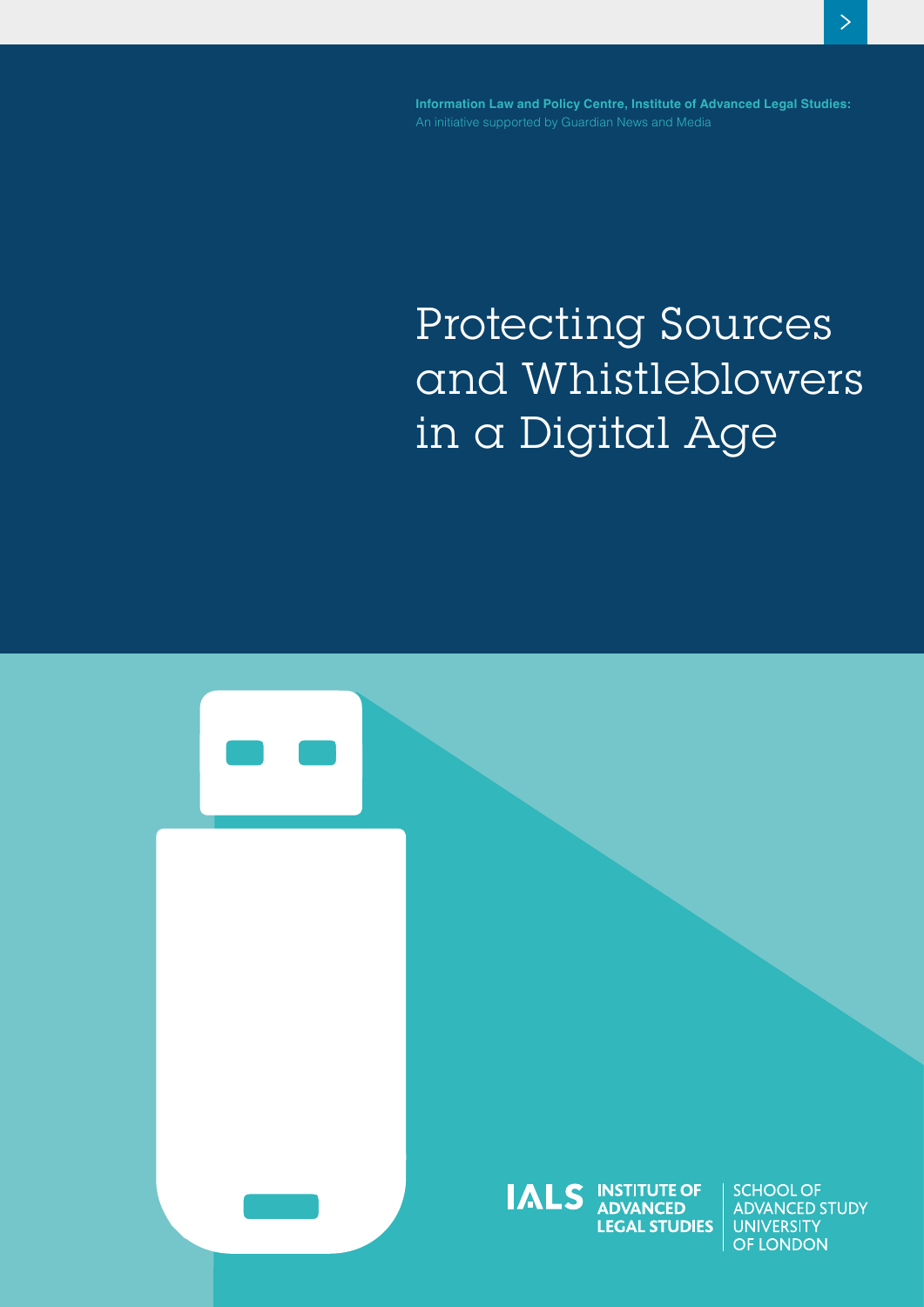**Information Law and Policy Centre, Institute of Advanced Legal Studies:**

# **Protecting Sources and Whistleblowers in a Digital Age**

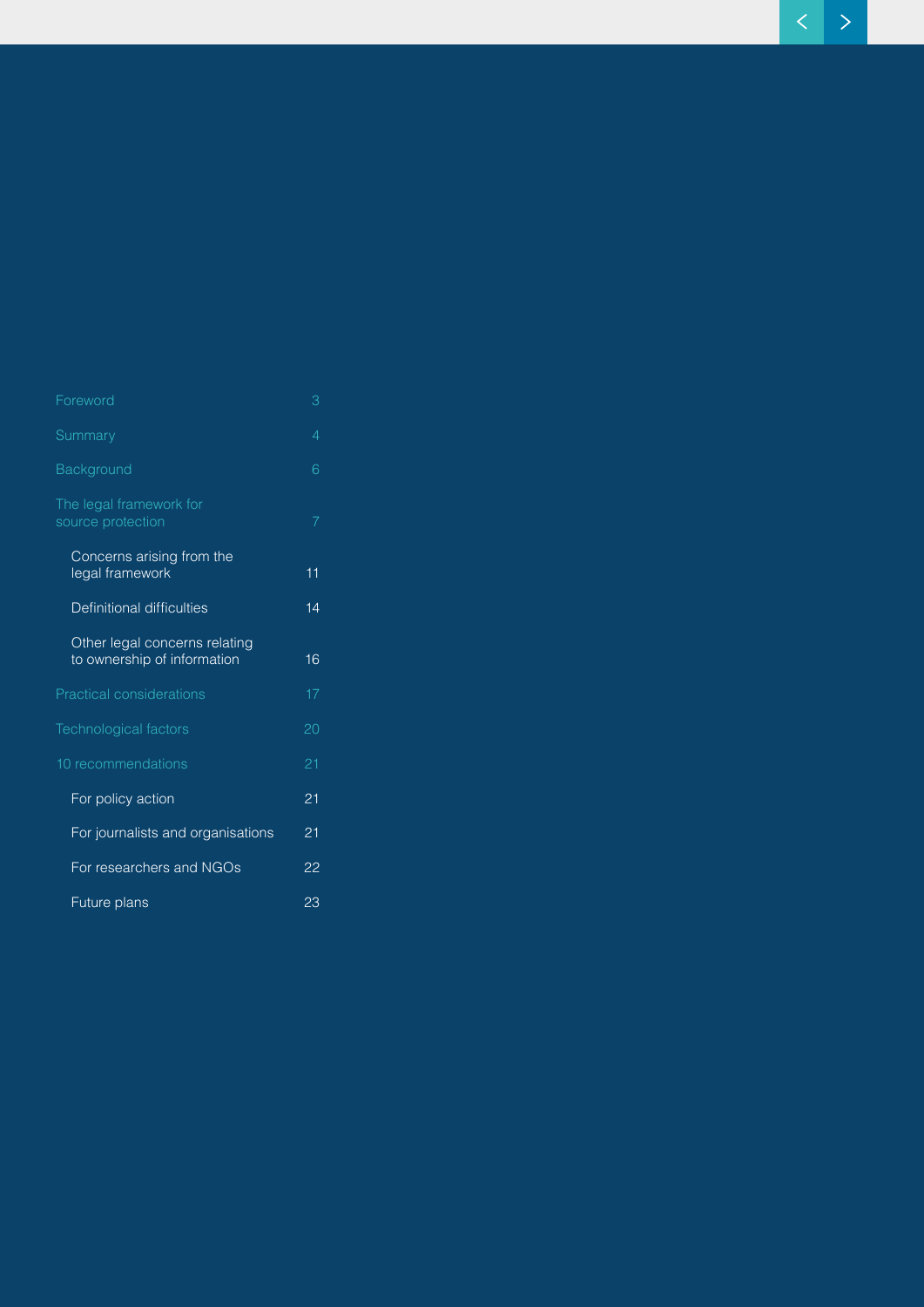| Foreword                                                     | З  |  |
|--------------------------------------------------------------|----|--|
| Summary                                                      | 4  |  |
| Background                                                   | 6  |  |
| The legal framework for<br>source protection                 | 7  |  |
| Concerns arising from the<br>legal framework                 | 11 |  |
| Definitional difficulties                                    | 14 |  |
| Other legal concerns relating<br>to ownership of information | 16 |  |
| <b>Practical considerations</b>                              | 17 |  |
| Technological factors                                        | 20 |  |
| 10 recommendations                                           | 21 |  |
| For policy action                                            | 21 |  |
| For journalists and organisations                            | 21 |  |
| For researchers and NGOs                                     | 22 |  |
| Future plans                                                 | 23 |  |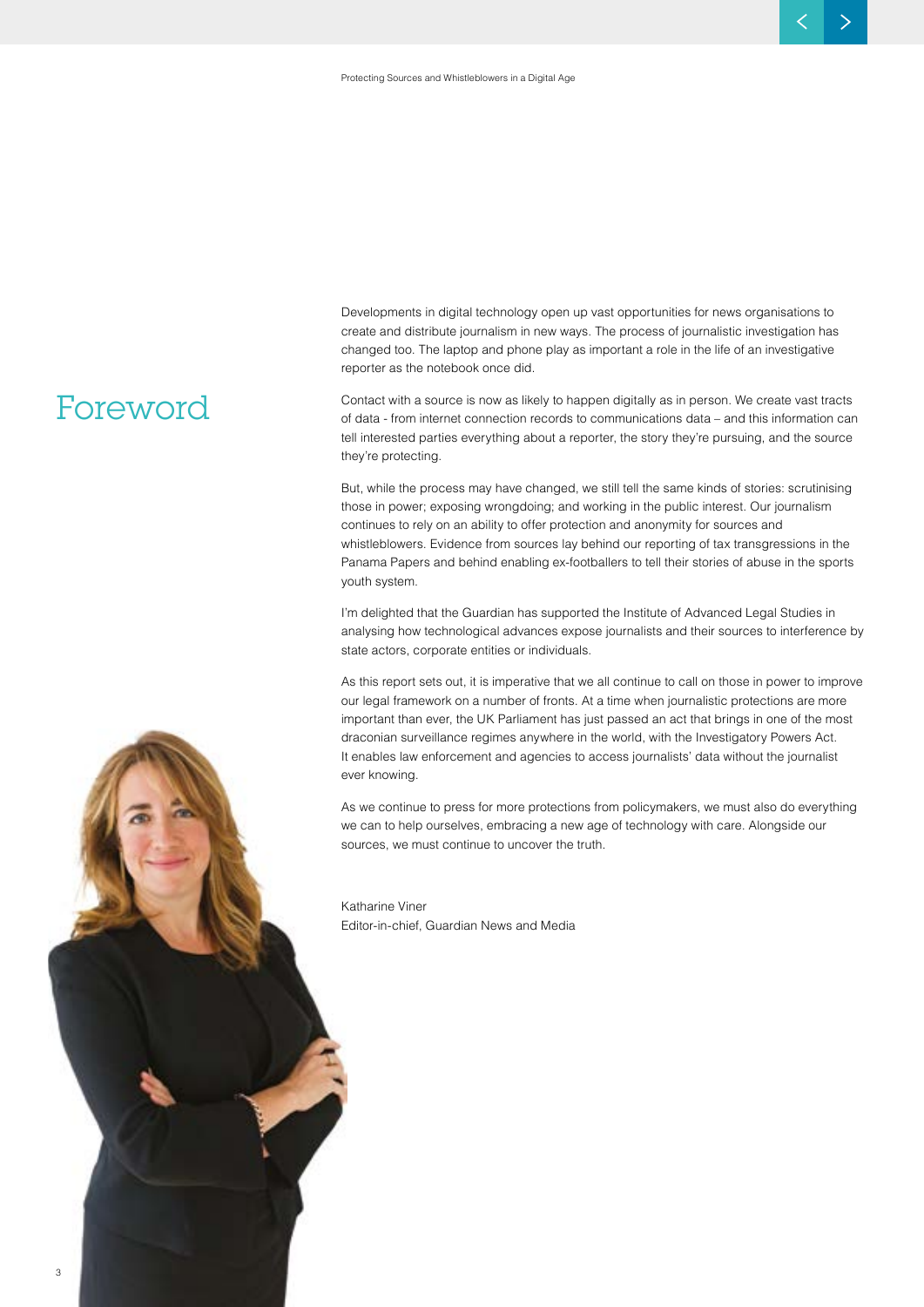Developments in digital technology open up vast opportunities for news organisations to create and distribute journalism in new ways. The process of journalistic investigation has changed too. The laptop and phone play as important a role in the life of an investigative reporter as the notebook once did.

Contact with a source is now as likely to happen digitally as in person. We create vast tracts of data - from internet connection records to communications data – and this information can tell interested parties everything about a reporter, the story they're pursuing, and the source they're protecting.

But, while the process may have changed, we still tell the same kinds of stories: scrutinising those in power; exposing wrongdoing; and working in the public interest. Our journalism continues to rely on an ability to offer protection and anonymity for sources and whistleblowers. Evidence from sources lay behind our reporting of tax transgressions in the Panama Papers and behind enabling ex-footballers to tell their stories of abuse in the sports youth system.

I'm delighted that the Guardian has supported the Institute of Advanced Legal Studies in analysing how technological advances expose journalists and their sources to interference by state actors, corporate entities or individuals.

As this report sets out, it is imperative that we all continue to call on those in power to improve our legal framework on a number of fronts. At a time when journalistic protections are more important than ever, the UK Parliament has just passed an act that brings in one of the most draconian surveillance regimes anywhere in the world, with the Investigatory Powers Act. It enables law enforcement and agencies to access journalists' data without the journalist ever knowing.

As we continue to press for more protections from policymakers, we must also do everything we can to help ourselves, embracing a new age of technology with care. Alongside our sources, we must continue to uncover the truth.

Katharine Viner Editor-in-chief, Guardian News and Media

### **Foreword**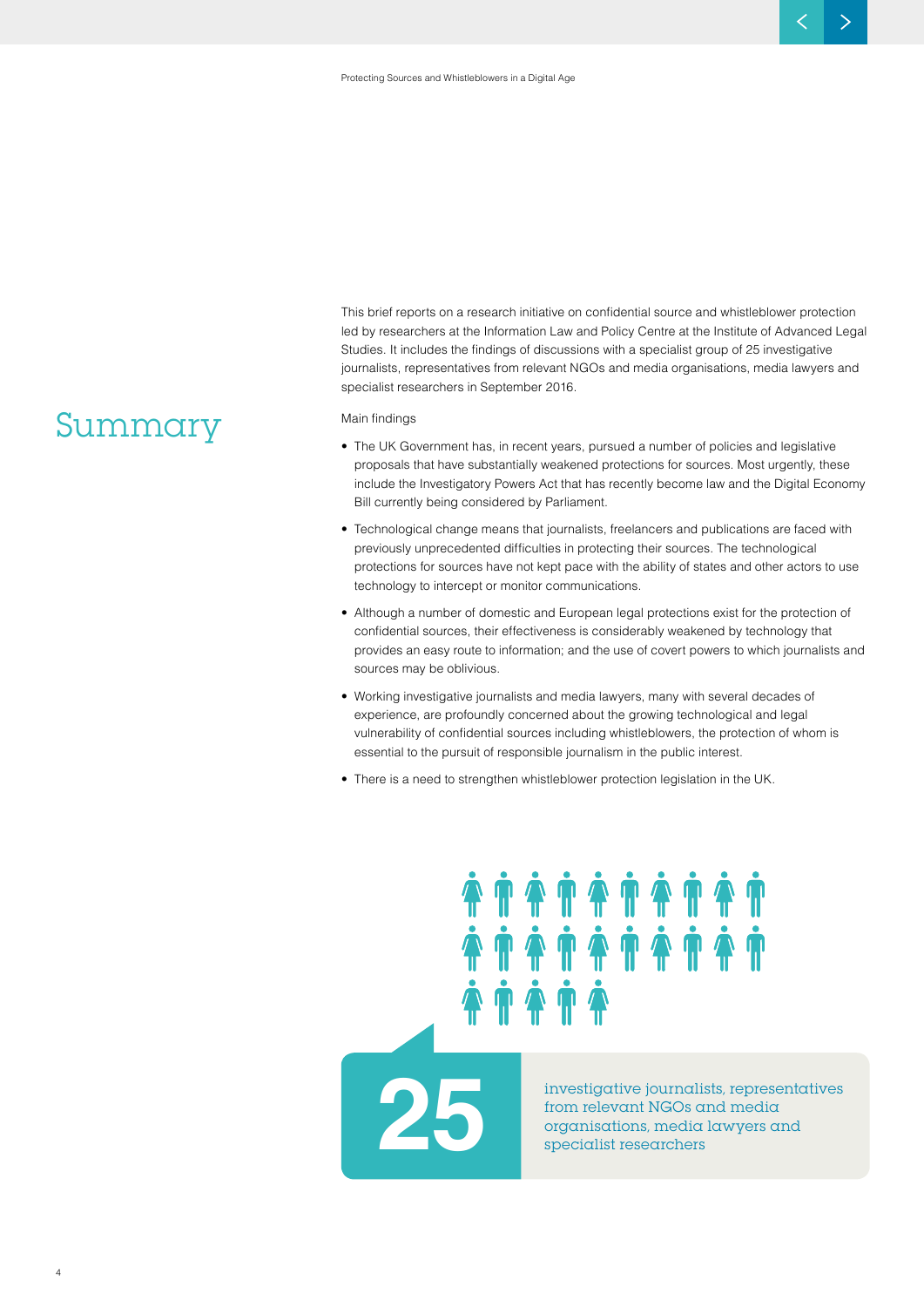This brief reports on a research initiative on confidential source and whistleblower protection led by researchers at the Information Law and Policy Centre at the Institute of Advanced Legal Studies. It includes the findings of discussions with a specialist group of 25 investigative journalists, representatives from relevant NGOs and media organisations, media lawyers and specialist researchers in September 2016.

#### Main findings

- The UK Government has, in recent years, pursued a number of policies and legislative proposals that have substantially weakened protections for sources. Most urgently, these include the Investigatory Powers Act that has recently become law and the Digital Economy Bill currently being considered by Parliament.
- Technological change means that journalists, freelancers and publications are faced with previously unprecedented difficulties in protecting their sources. The technological protections for sources have not kept pace with the ability of states and other actors to use technology to intercept or monitor communications.
- Although a number of domestic and European legal protections exist for the protection of confidential sources, their effectiveness is considerably weakened by technology that provides an easy route to information; and the use of covert powers to which journalists and sources may be oblivious.
- Working investigative journalists and media lawyers, many with several decades of experience, are profoundly concerned about the growing technological and legal vulnerability of confidential sources including whistleblowers, the protection of whom is essential to the pursuit of responsible journalism in the public interest.

• There is a need to strengthen whistleblower protection legislation in the UK.

**25 investigative journalists, representatives from relevant NGOs and media organisations, media lawyers and specialist researchers**

### **Summary**

4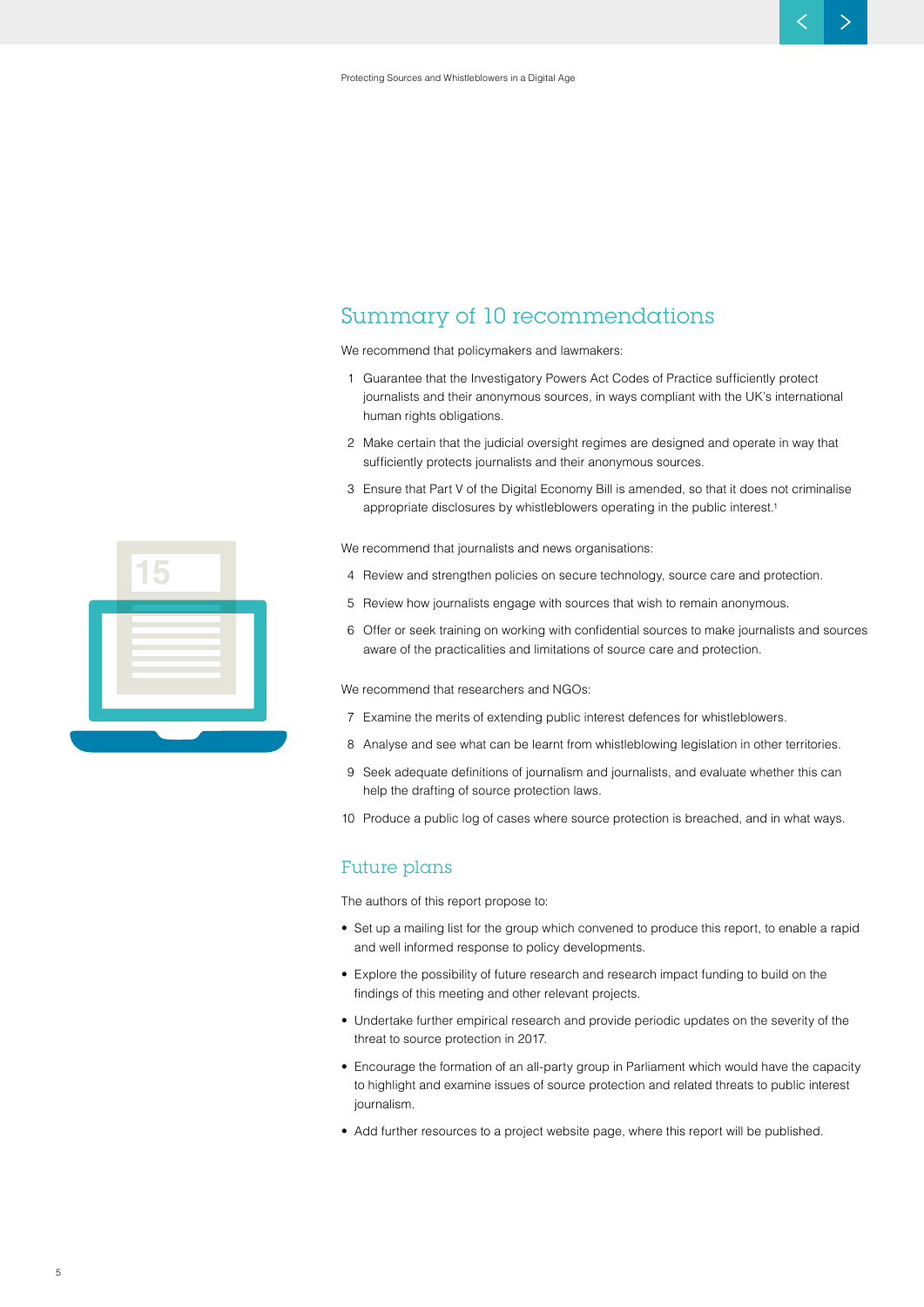### **Summary of 10 recommendations**

We recommend that policymakers and lawmakers:

- 1 Guarantee that the Investigatory Powers Act Codes of Practice sufficiently protect journalists and their anonymous sources, in ways compliant with the UK's international human rights obligations.
- 2 Make certain that the judicial oversight regimes are designed and operate in way that sufficiently protects journalists and their anonymous sources.
- 3 Ensure that Part V of the Digital Economy Bill is amended, so that it does not criminalise appropriate disclosures by whistleblowers operating in the public interest.1

We recommend that journalists and news organisations:

- 4 Review and strengthen policies on secure technology, source care and protection.
- 5 Review how journalists engage with sources that wish to remain anonymous.
- 6 Offer or seek training on working with confidential sources to make journalists and sources aware of the practicalities and limitations of source care and protection.

We recommend that researchers and NGOs:

- 7 Examine the merits of extending public interest defences for whistleblowers.
- 8 Analyse and see what can be learnt from whistleblowing legislation in other territories.
- 9 Seek adequate definitions of journalism and journalists, and evaluate whether this can help the drafting of source protection laws.
- 10 Produce a public log of cases where source protection is breached, and in what ways.

#### **Future plans**

The authors of this report propose to:

- Set up a mailing list for the group which convened to produce this report, to enable a rapid and well informed response to policy developments.
- Explore the possibility of future research and research impact funding to build on the findings of this meeting and other relevant projects.
- Undertake further empirical research and provide periodic updates on the severity of the threat to source protection in 2017.
- Encourage the formation of an all-party group in Parliament which would have the capacity to highlight and examine issues of source protection and related threats to public interest journalism.
- Add further resources to a project website page, where this report will be published.

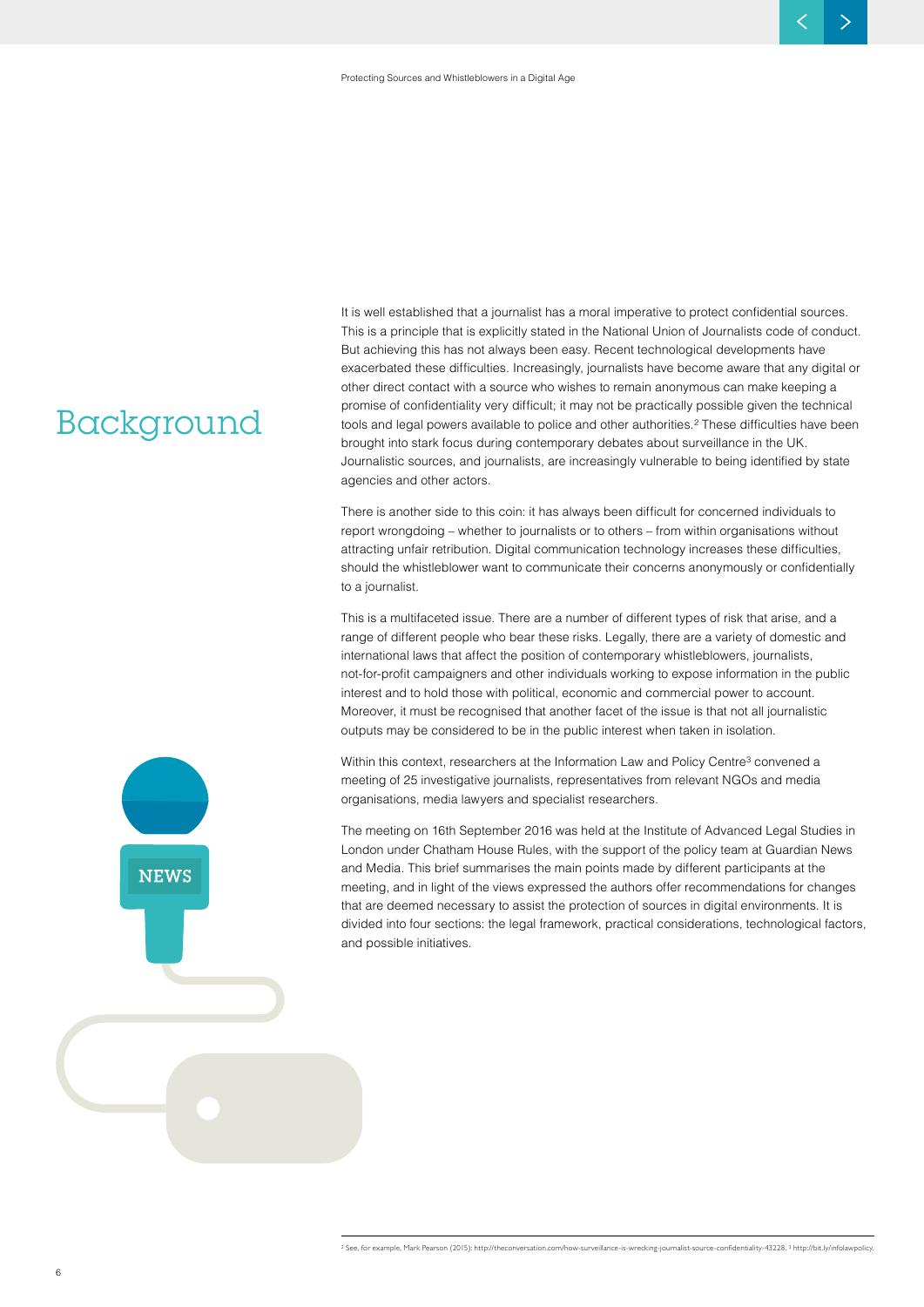### **Background**

It is well established that a journalist has a moral imperative to protect confidential sources. This is a principle that is explicitly stated in the National Union of Journalists code of conduct. But achieving this has not always been easy. Recent technological developments have exacerbated these difficulties. Increasingly, journalists have become aware that any digital or other direct contact with a source who wishes to remain anonymous can make keeping a promise of confidentiality very difficult; it may not be practically possible given the technical tools and legal powers available to police and other authorities.<sup>2</sup> These difficulties have been brought into stark focus during contemporary debates about surveillance in the UK. Journalistic sources, and journalists, are increasingly vulnerable to being identified by state agencies and other actors.

There is another side to this coin: it has always been difficult for concerned individuals to report wrongdoing – whether to journalists or to others – from within organisations without attracting unfair retribution. Digital communication technology increases these difficulties, should the whistleblower want to communicate their concerns anonymously or confidentially to a journalist.

This is a multifaceted issue. There are a number of different types of risk that arise, and a range of different people who bear these risks. Legally, there are a variety of domestic and international laws that affect the position of contemporary whistleblowers, journalists, not-for-profit campaigners and other individuals working to expose information in the public interest and to hold those with political, economic and commercial power to account. Moreover, it must be recognised that another facet of the issue is that not all journalistic outputs may be considered to be in the public interest when taken in isolation.

Within this context, researchers at the Information Law and Policy Centre<sup>3</sup> convened a meeting of 25 investigative journalists, representatives from relevant NGOs and media organisations, media lawyers and specialist researchers.

The meeting on 16th September 2016 was held at the Institute of Advanced Legal Studies in London under Chatham House Rules, with the support of the policy team at Guardian News and Media. This brief summarises the main points made by different participants at the meeting, and in light of the views expressed the authors offer recommendations for changes that are deemed necessary to assist the protection of sources in digital environments. It is divided into four sections: the legal framework, practical considerations, technological factors, and possible initiatives.



6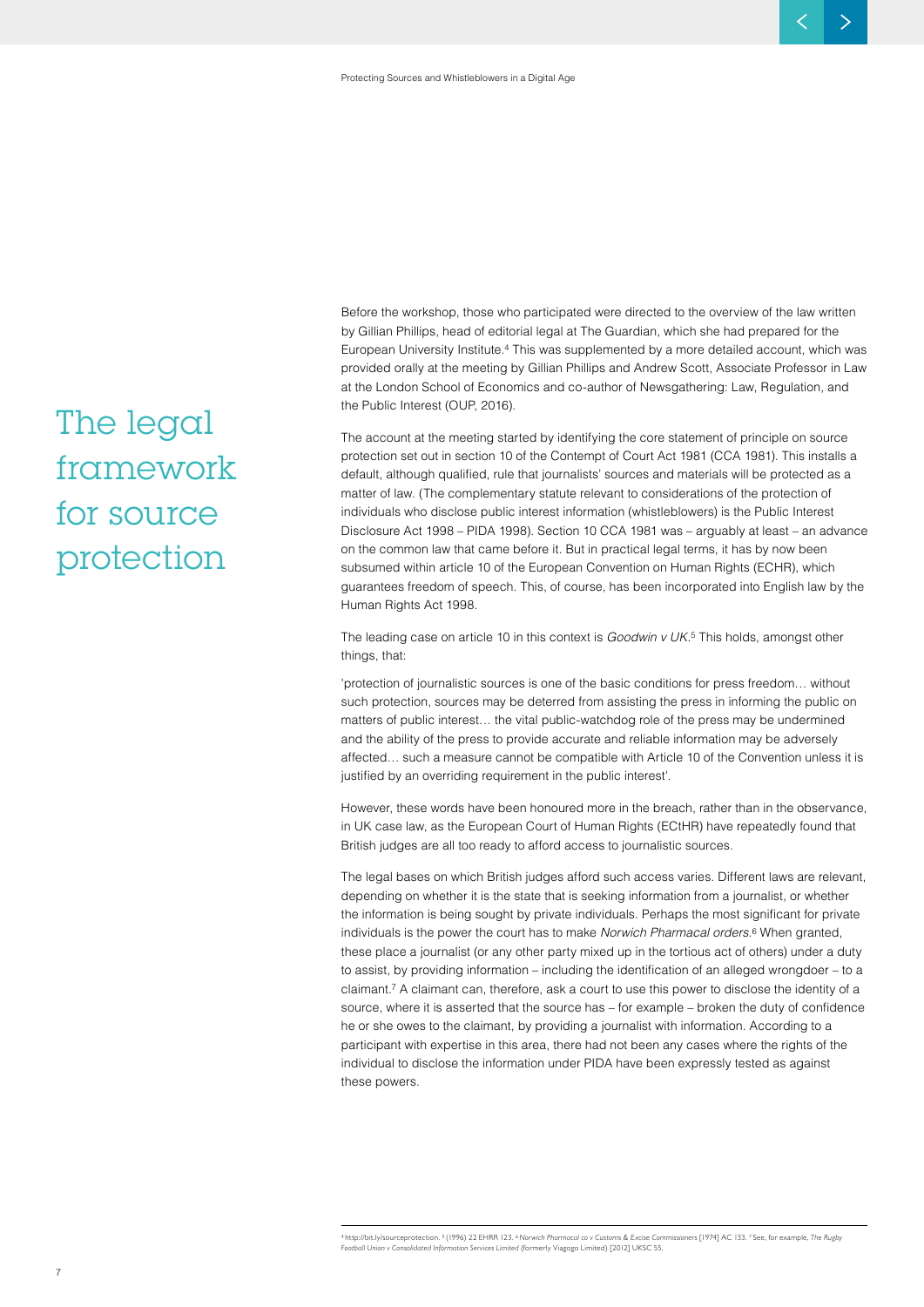Before the workshop, those who participated were directed to the overview of the law written by Gillian Phillips, head of editorial legal at The Guardian, which she had prepared for the European University Institute.4 This was supplemented by a more detailed account, which was provided orally at the meeting by Gillian Phillips and Andrew Scott, Associate Professor in Law at the London School of Economics and co-author of Newsgathering: Law, Regulation, and the Public Interest (OUP, 2016).

The account at the meeting started by identifying the core statement of principle on source protection set out in section 10 of the Contempt of Court Act 1981 (CCA 1981). This installs a default, although qualified, rule that journalists' sources and materials will be protected as a matter of law. (The complementary statute relevant to considerations of the protection of individuals who disclose public interest information (whistleblowers) is the Public Interest Disclosure Act 1998 – PIDA 1998). Section 10 CCA 1981 was – arguably at least – an advance on the common law that came before it. But in practical legal terms, it has by now been subsumed within article 10 of the European Convention on Human Rights (ECHR), which guarantees freedom of speech. This, of course, has been incorporated into English law by the Human Rights Act 1998.

The leading case on article 10 in this context is *Goodwin v UK.*<sup>5</sup> This holds, amongst other things, that:

'protection of journalistic sources is one of the basic conditions for press freedom… without such protection, sources may be deterred from assisting the press in informing the public on matters of public interest… the vital public-watchdog role of the press may be undermined and the ability of the press to provide accurate and reliable information may be adversely affected… such a measure cannot be compatible with Article 10 of the Convention unless it is justified by an overriding requirement in the public interest'.

However, these words have been honoured more in the breach, rather than in the observance, in UK case law, as the European Court of Human Rights (ECtHR) have repeatedly found that British judges are all too ready to afford access to journalistic sources.

The legal bases on which British judges afford such access varies. Different laws are relevant, depending on whether it is the state that is seeking information from a journalist, or whether the information is being sought by private individuals. Perhaps the most significant for private individuals is the power the court has to make *Norwich Pharmacal orders.*6 When granted, these place a journalist (or any other party mixed up in the tortious act of others) under a duty to assist, by providing information – including the identification of an alleged wrongdoer – to a claimant.7 A claimant can, therefore, ask a court to use this power to disclose the identity of a source, where it is asserted that the source has – for example – broken the duty of confidence he or she owes to the claimant, by providing a journalist with information. According to a participant with expertise in this area, there had not been any cases where the rights of the individual to disclose the information under PIDA have been expressly tested as against these powers.

## **The legal framework for source protection**

7

<sup>4</sup> http://bit.ly/sourceprotection. <sup>5</sup>(1996) 22 EHRR 123. <sup>6</sup>*Norwich Pharmacal co v Customs & Excise Commissioners* [1974] AC 133. 7 See, for example, *The Rugby* 

*Football Union v Consolidated Information Services Limited* (formerly Viagogo Limited) [2012] UKSC 55.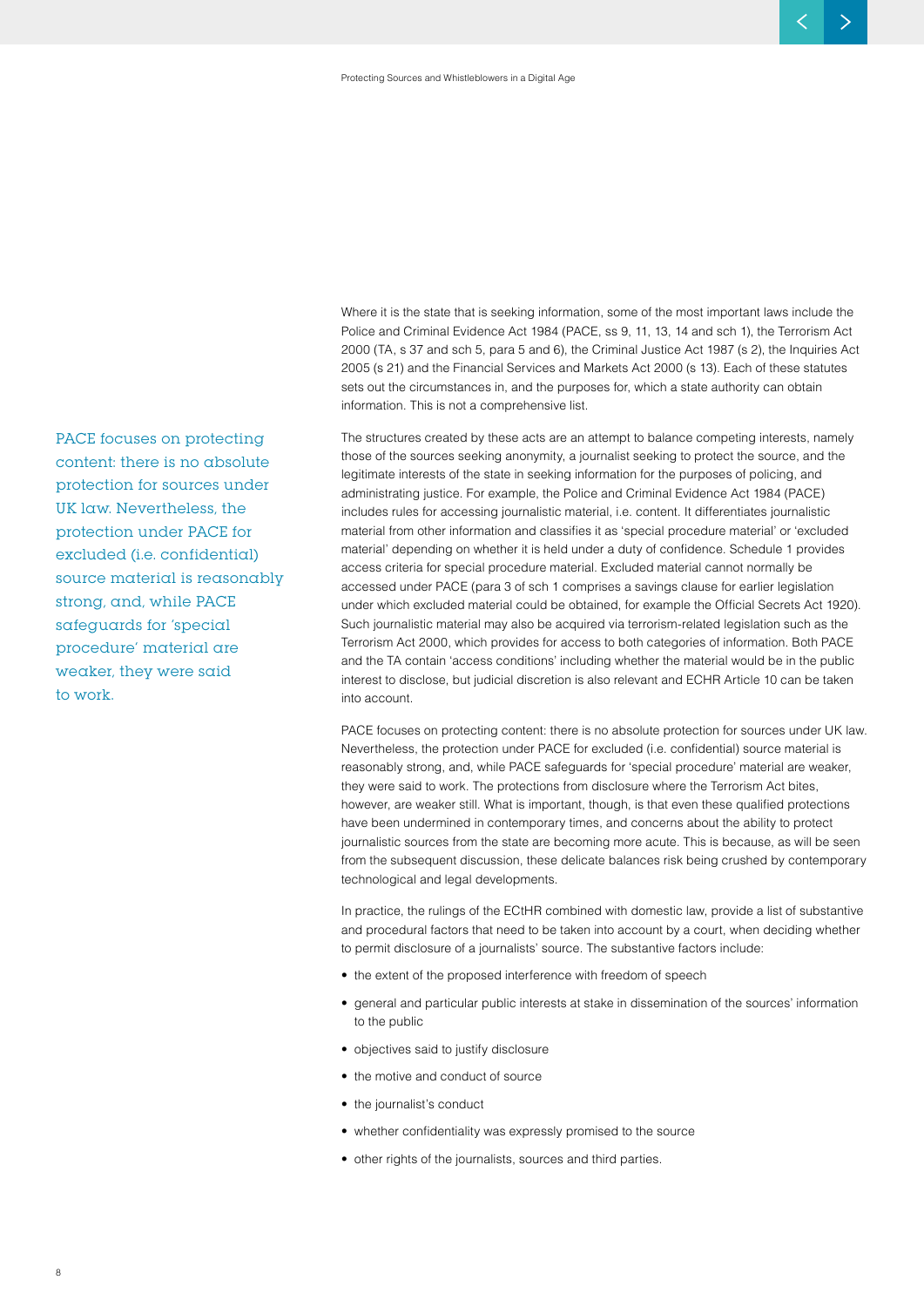Where it is the state that is seeking information, some of the most important laws include the Police and Criminal Evidence Act 1984 (PACE, ss 9, 11, 13, 14 and sch 1), the Terrorism Act 2000 (TA, s 37 and sch 5, para 5 and 6), the Criminal Justice Act 1987 (s 2), the Inquiries Act 2005 (s 21) and the Financial Services and Markets Act 2000 (s 13). Each of these statutes sets out the circumstances in, and the purposes for, which a state authority can obtain information. This is not a comprehensive list.

The structures created by these acts are an attempt to balance competing interests, namely those of the sources seeking anonymity, a journalist seeking to protect the source, and the legitimate interests of the state in seeking information for the purposes of policing, and administrating justice. For example, the Police and Criminal Evidence Act 1984 (PACE) includes rules for accessing journalistic material, i.e. content. It differentiates journalistic material from other information and classifies it as 'special procedure material' or 'excluded material' depending on whether it is held under a duty of confidence. Schedule 1 provides access criteria for special procedure material. Excluded material cannot normally be accessed under PACE (para 3 of sch 1 comprises a savings clause for earlier legislation under which excluded material could be obtained, for example the Official Secrets Act 1920). Such journalistic material may also be acquired via terrorism-related legislation such as the Terrorism Act 2000, which provides for access to both categories of information. Both PACE and the TA contain 'access conditions' including whether the material would be in the public interest to disclose, but judicial discretion is also relevant and ECHR Article 10 can be taken into account.

PACE focuses on protecting content: there is no absolute protection for sources under UK law. Nevertheless, the protection under PACE for excluded (i.e. confidential) source material is reasonably strong, and, while PACE safeguards for 'special procedure' material are weaker, they were said to work. The protections from disclosure where the Terrorism Act bites, however, are weaker still. What is important, though, is that even these qualified protections have been undermined in contemporary times, and concerns about the ability to protect journalistic sources from the state are becoming more acute. This is because, as will be seen from the subsequent discussion, these delicate balances risk being crushed by contemporary technological and legal developments.

In practice, the rulings of the ECtHR combined with domestic law, provide a list of substantive and procedural factors that need to be taken into account by a court, when deciding whether to permit disclosure of a journalists' source. The substantive factors include:

- the extent of the proposed interference with freedom of speech
- general and particular public interests at stake in dissemination of the sources' information to the public
- objectives said to justify disclosure
- the motive and conduct of source
- the journalist's conduct
- • whether confidentiality was expressly promised to the source
- other rights of the journalists, sources and third parties.

**PACE focuses on protecting content: there is no absolute protection for sources under UK law. Nevertheless, the protection under PACE for excluded (i.e. confidential) source material is reasonably strong, and, while PACE safeguards for 'special procedure' material are weaker, they were said to work.**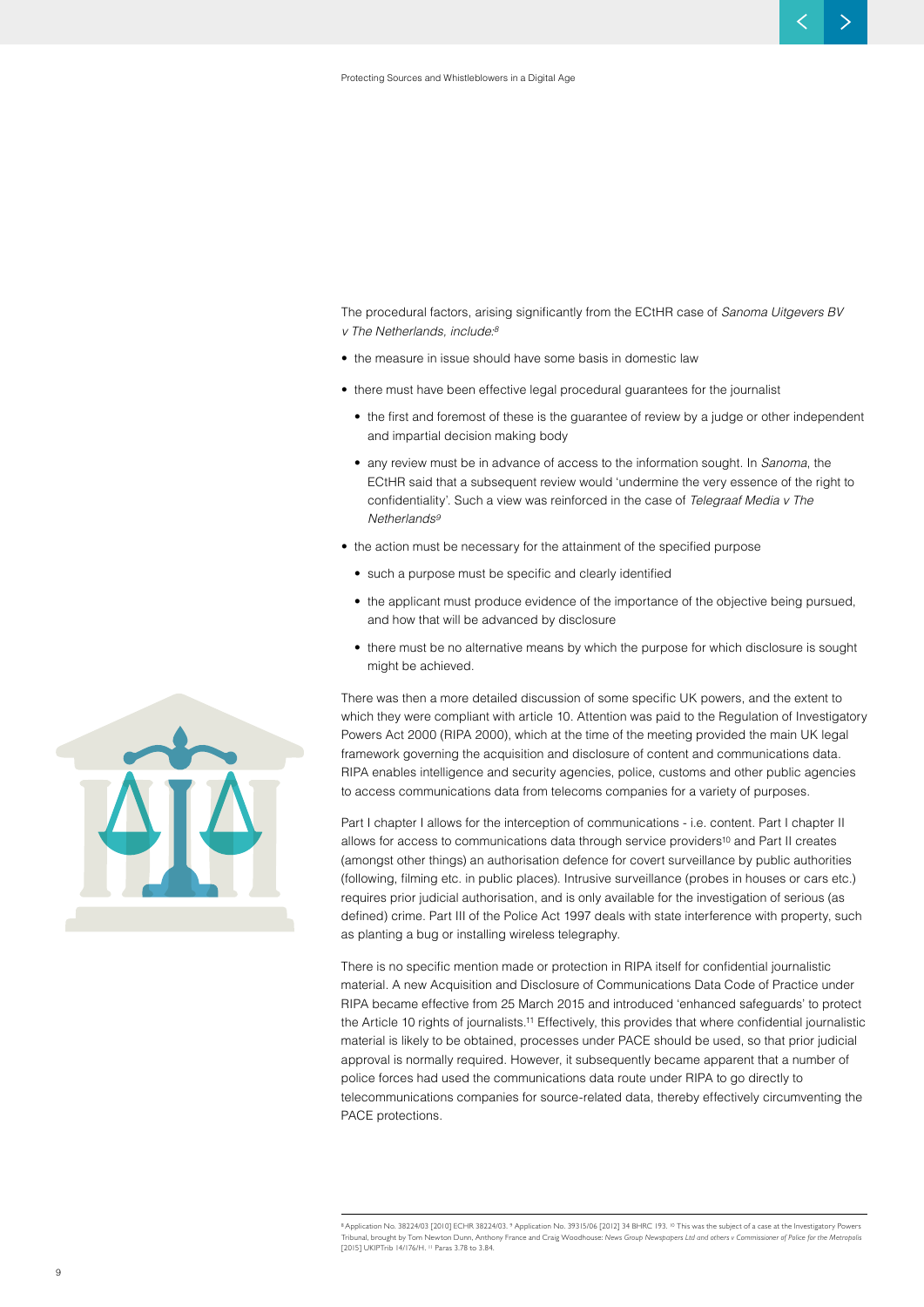The procedural factors, arising significantly from the ECtHR case of *Sanoma Uitgevers BV v The Netherlands, include:8*

- the measure in issue should have some basis in domestic law
- there must have been effective legal procedural guarantees for the journalist
	- the first and foremost of these is the guarantee of review by a judge or other independent and impartial decision making body
	- any review must be in advance of access to the information sought. In *Sanoma*, the ECtHR said that a subsequent review would 'undermine the very essence of the right to confidentiality'. Such a view was reinforced in the case of *Telegraaf Media v The Netherlands9*
- the action must be necessary for the attainment of the specified purpose
	- such a purpose must be specific and clearly identified
	- the applicant must produce evidence of the importance of the objective being pursued, and how that will be advanced by disclosure
	- there must be no alternative means by which the purpose for which disclosure is sought might be achieved.

There was then a more detailed discussion of some specific UK powers, and the extent to which they were compliant with article 10. Attention was paid to the Regulation of Investigatory Powers Act 2000 (RIPA 2000), which at the time of the meeting provided the main UK legal framework governing the acquisition and disclosure of content and communications data. RIPA enables intelligence and security agencies, police, customs and other public agencies to access communications data from telecoms companies for a variety of purposes.

Part I chapter I allows for the interception of communications - i.e. content. Part I chapter II allows for access to communications data through service providers<sup>10</sup> and Part II creates (amongst other things) an authorisation defence for covert surveillance by public authorities (following, filming etc. in public places). Intrusive surveillance (probes in houses or cars etc.) requires prior judicial authorisation, and is only available for the investigation of serious (as defined) crime. Part III of the Police Act 1997 deals with state interference with property, such as planting a bug or installing wireless telegraphy.

There is no specific mention made or protection in RIPA itself for confidential journalistic material. A new Acquisition and Disclosure of Communications Data Code of Practice under RIPA became effective from 25 March 2015 and introduced 'enhanced safeguards' to protect the Article 10 rights of journalists.11 Effectively, this provides that where confidential journalistic material is likely to be obtained, processes under PACE should be used, so that prior judicial approval is normally required. However, it subsequently became apparent that a number of police forces had used the communications data route under RIPA to go directly to telecommunications companies for source-related data, thereby effectively circumventing the PACE protections.



<sup>&</sup>lt;sup>8</sup> Application No. 38224/03 [2010] ECHR 38224/03. <sup>9</sup> Application No. 39315/06 [2012] 34 BHRC 193. <sup>10</sup> This was the subject of a case at the Investigatory Powers .<br>al, brought by Tom Newton Dunn, Anthony France and Craig Woodhouse: News Group Newspapers Ltd and others v Commissioner of Police for the Metropolis [2015] UKIPTrib 14/176/H. <sup>11</sup> Paras 3.78 to 3.84.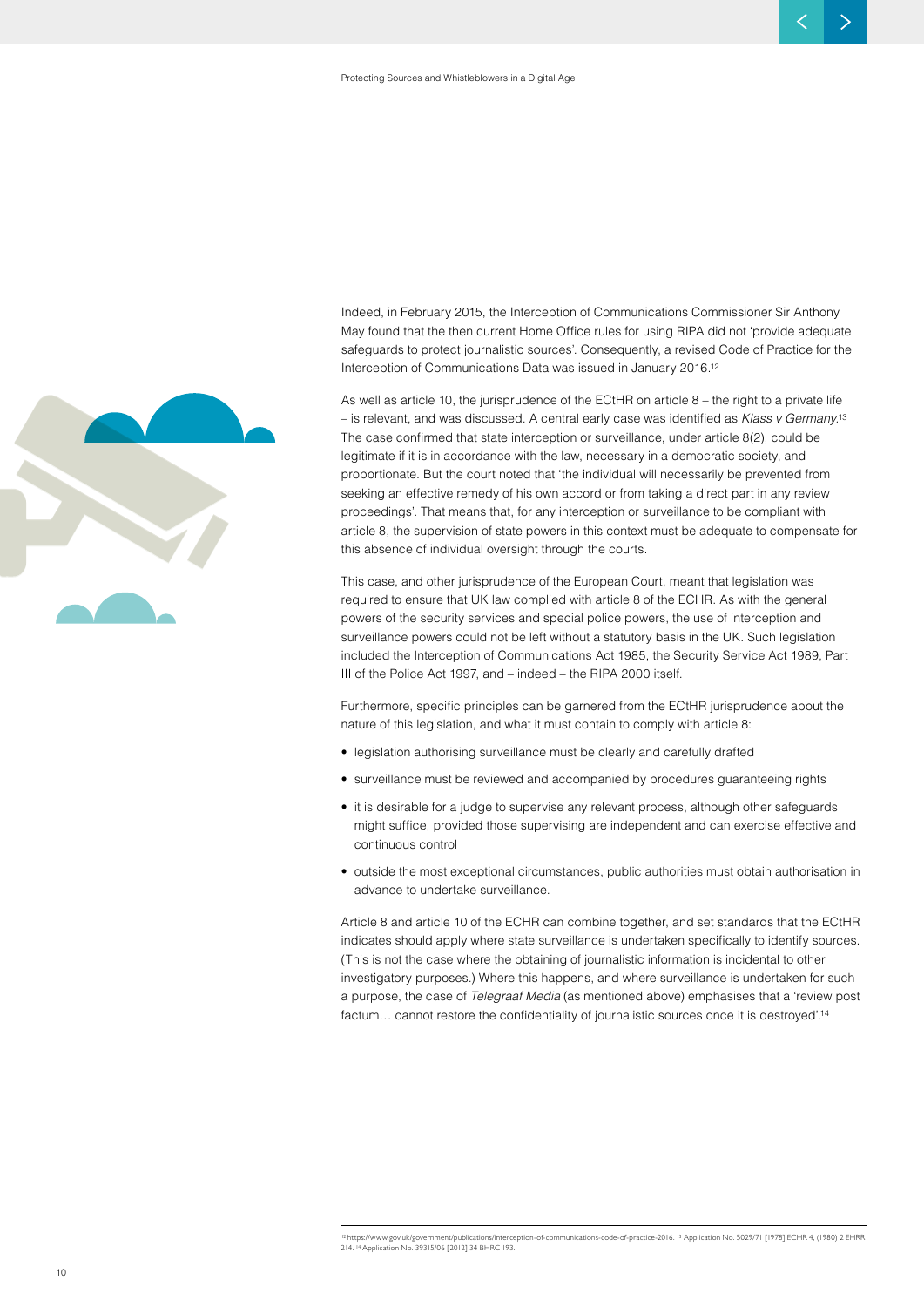

Indeed, in February 2015, the Interception of Communications Commissioner Sir Anthony May found that the then current Home Office rules for using RIPA did not 'provide adequate safeguards to protect journalistic sources'. Consequently, a revised Code of Practice for the Interception of Communications Data was issued in January 2016.12

As well as article 10, the jurisprudence of the ECtHR on article 8 – the right to a private life – is relevant, and was discussed. A central early case was identified as *Klass v Germany.*<sup>13</sup> The case confirmed that state interception or surveillance, under article 8(2), could be legitimate if it is in accordance with the law, necessary in a democratic society, and proportionate. But the court noted that 'the individual will necessarily be prevented from seeking an effective remedy of his own accord or from taking a direct part in any review proceedings'. That means that, for any interception or surveillance to be compliant with article 8, the supervision of state powers in this context must be adequate to compensate for this absence of individual oversight through the courts.

This case, and other jurisprudence of the European Court, meant that legislation was required to ensure that UK law complied with article 8 of the ECHR. As with the general powers of the security services and special police powers, the use of interception and surveillance powers could not be left without a statutory basis in the UK. Such legislation included the Interception of Communications Act 1985, the Security Service Act 1989, Part III of the Police Act 1997, and – indeed – the RIPA 2000 itself.

Furthermore, specific principles can be garnered from the ECtHR jurisprudence about the nature of this legislation, and what it must contain to comply with article 8:

- legislation authorising surveillance must be clearly and carefully drafted
- surveillance must be reviewed and accompanied by procedures guaranteeing rights
- it is desirable for a judge to supervise any relevant process, although other safeguards might suffice, provided those supervising are independent and can exercise effective and continuous control
- outside the most exceptional circumstances, public authorities must obtain authorisation in advance to undertake surveillance.

Article 8 and article 10 of the ECHR can combine together, and set standards that the ECtHR indicates should apply where state surveillance is undertaken specifically to identify sources. (This is not the case where the obtaining of journalistic information is incidental to other investigatory purposes.) Where this happens, and where surveillance is undertaken for such a purpose, the case of *Telegraaf Media* (as mentioned above) emphasises that a 'review post factum… cannot restore the confidentiality of journalistic sources once it is destroyed'.<sup>14</sup>

<sup>.&</sup>lt;br>//www.gov.uk/government/publications/interception-of-communications-code-of-practice-2016. <sup>13</sup> Application No. 5029/71 [1978] ECHR 4, (1980) 2 EHRR 214. 14 Application No. 39315/06 [2012] 34 BHRC 193.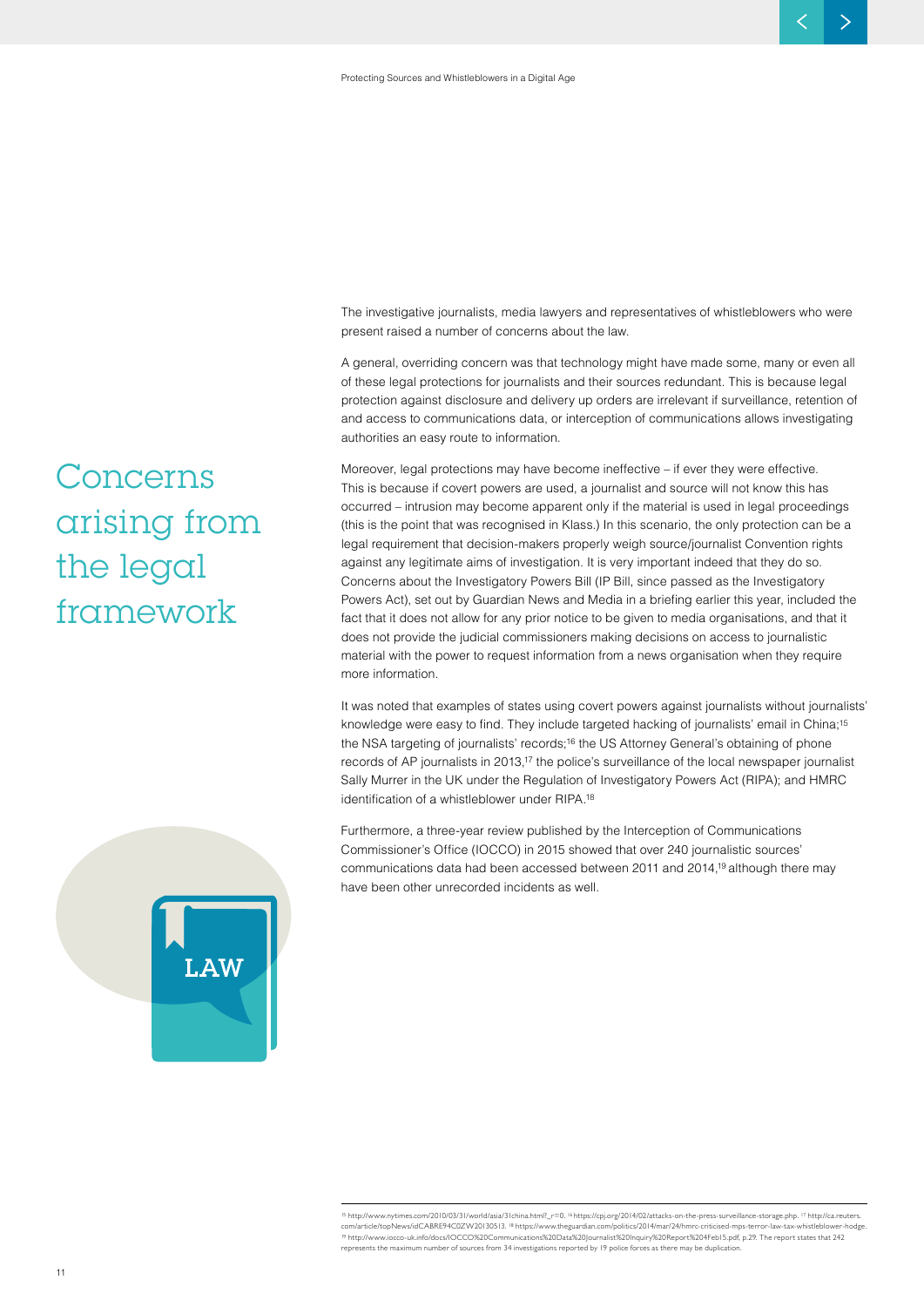The investigative journalists, media lawyers and representatives of whistleblowers who were present raised a number of concerns about the law.

A general, overriding concern was that technology might have made some, many or even all of these legal protections for journalists and their sources redundant. This is because legal protection against disclosure and delivery up orders are irrelevant if surveillance, retention of and access to communications data, or interception of communications allows investigating authorities an easy route to information.

Moreover, legal protections may have become ineffective – if ever they were effective. This is because if covert powers are used, a journalist and source will not know this has occurred – intrusion may become apparent only if the material is used in legal proceedings (this is the point that was recognised in Klass.) In this scenario, the only protection can be a legal requirement that decision-makers properly weigh source/journalist Convention rights against any legitimate aims of investigation. It is very important indeed that they do so. Concerns about the Investigatory Powers Bill (IP Bill, since passed as the Investigatory Powers Act), set out by Guardian News and Media in a briefing earlier this year, included the fact that it does not allow for any prior notice to be given to media organisations, and that it does not provide the judicial commissioners making decisions on access to journalistic material with the power to request information from a news organisation when they require more information.

It was noted that examples of states using covert powers against journalists without journalists' knowledge were easy to find. They include targeted hacking of journalists' email in China;15 the NSA targeting of journalists' records;16 the US Attorney General's obtaining of phone records of AP journalists in 2013,17 the police's surveillance of the local newspaper journalist Sally Murrer in the UK under the Regulation of Investigatory Powers Act (RIPA); and HMRC identification of a whistleblower under RIPA.<sup>18</sup>

Furthermore, a three-year review published by the Interception of Communications Commissioner's Office (IOCCO) in 2015 showed that over 240 journalistic sources' communications data had been accessed between 2011 and 2014,19 although there may have been other unrecorded incidents as well.

### **Concerns arising from the legal framework**



<sup>15</sup> http://www.nytimes.com/2010/03/31/world/asia/31china.html?\_r=0. <sup>16</sup>https://cpj.org/2014/02/attacks-on-the-press-surveillance-storage.php. 17 http://ca.reuters. com/article/topNews/idCABRE94C0ZW20130513.<sup>18</sup> https://www.theguardian.com/politics/2014/mar/24/hmrc-criticised-mps-terror-law-tax-whistleblow <sup>19</sup> http://www.iocco-uk.info/docs/IOCCO%20Communications%20Data%20Journalist%20Inquiry%20Report%204Feb15.pdf, p.29. The report states that 242 represents the maximum number of sources from 34 investigations reported by 19 police forces as there may be duplication.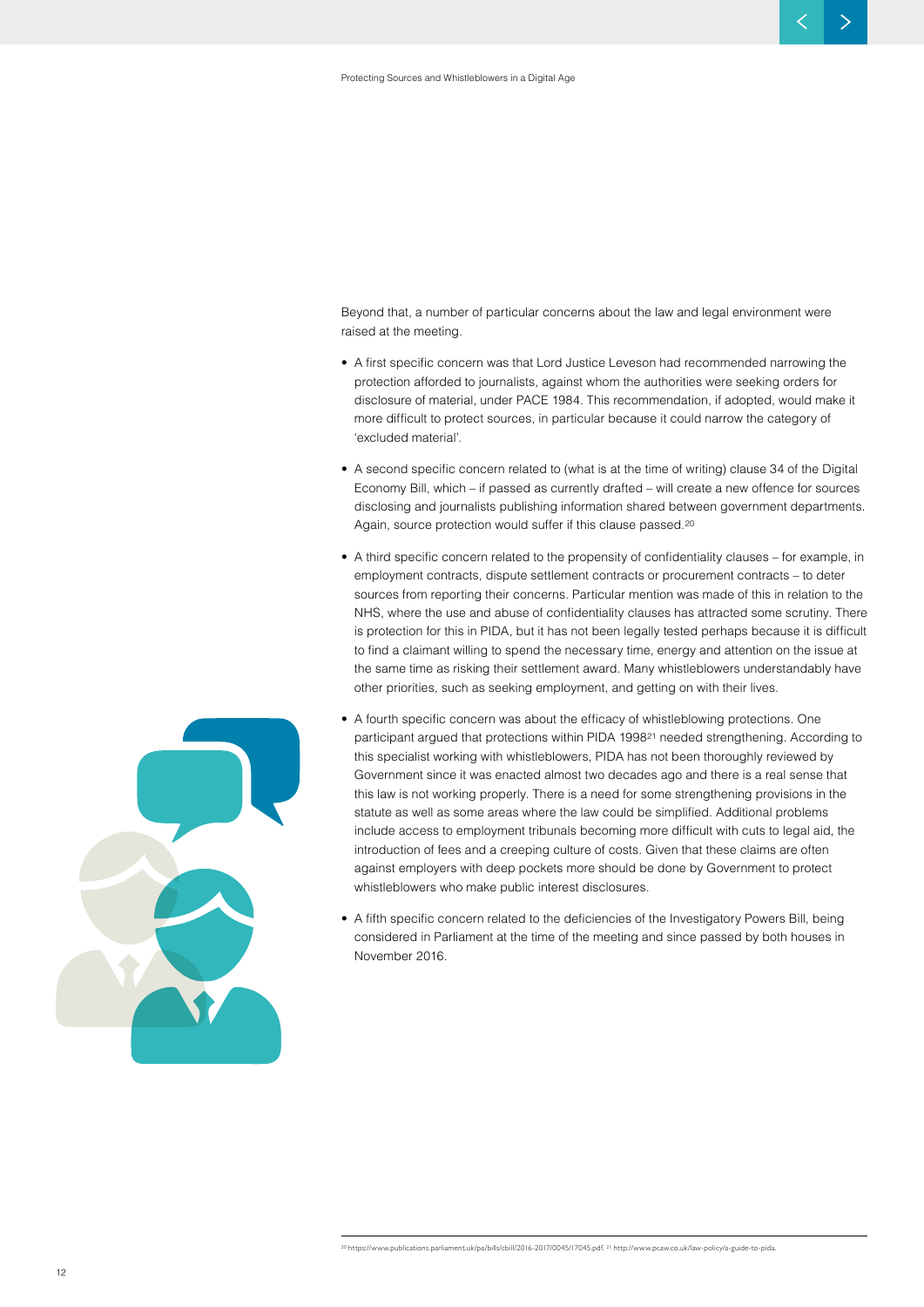Beyond that, a number of particular concerns about the law and legal environment were raised at the meeting.

- A first specific concern was that Lord Justice Leveson had recommended narrowing the protection afforded to journalists, against whom the authorities were seeking orders for disclosure of material, under PACE 1984. This recommendation, if adopted, would make it more difficult to protect sources, in particular because it could narrow the category of 'excluded material'.
- A second specific concern related to (what is at the time of writing) clause 34 of the Digital Economy Bill, which – if passed as currently drafted – will create a new offence for sources disclosing and journalists publishing information shared between government departments. Again, source protection would suffer if this clause passed.<sup>20</sup>
- A third specific concern related to the propensity of confidentiality clauses for example, in employment contracts, dispute settlement contracts or procurement contracts – to deter sources from reporting their concerns. Particular mention was made of this in relation to the NHS, where the use and abuse of confidentiality clauses has attracted some scrutiny. There is protection for this in PIDA, but it has not been legally tested perhaps because it is difficult to find a claimant willing to spend the necessary time, energy and attention on the issue at the same time as risking their settlement award. Many whistleblowers understandably have other priorities, such as seeking employment, and getting on with their lives.
- A fourth specific concern was about the efficacy of whistleblowing protections. One participant argued that protections within PIDA 199821 needed strengthening. According to this specialist working with whistleblowers, PIDA has not been thoroughly reviewed by Government since it was enacted almost two decades ago and there is a real sense that this law is not working properly. There is a need for some strengthening provisions in the statute as well as some areas where the law could be simplified. Additional problems include access to employment tribunals becoming more difficult with cuts to legal aid, the introduction of fees and a creeping culture of costs. Given that these claims are often against employers with deep pockets more should be done by Government to protect whistleblowers who make public interest disclosures.
	- A fifth specific concern related to the deficiencies of the Investigatory Powers Bill, being considered in Parliament at the time of the meeting and since passed by both houses in November 2016.

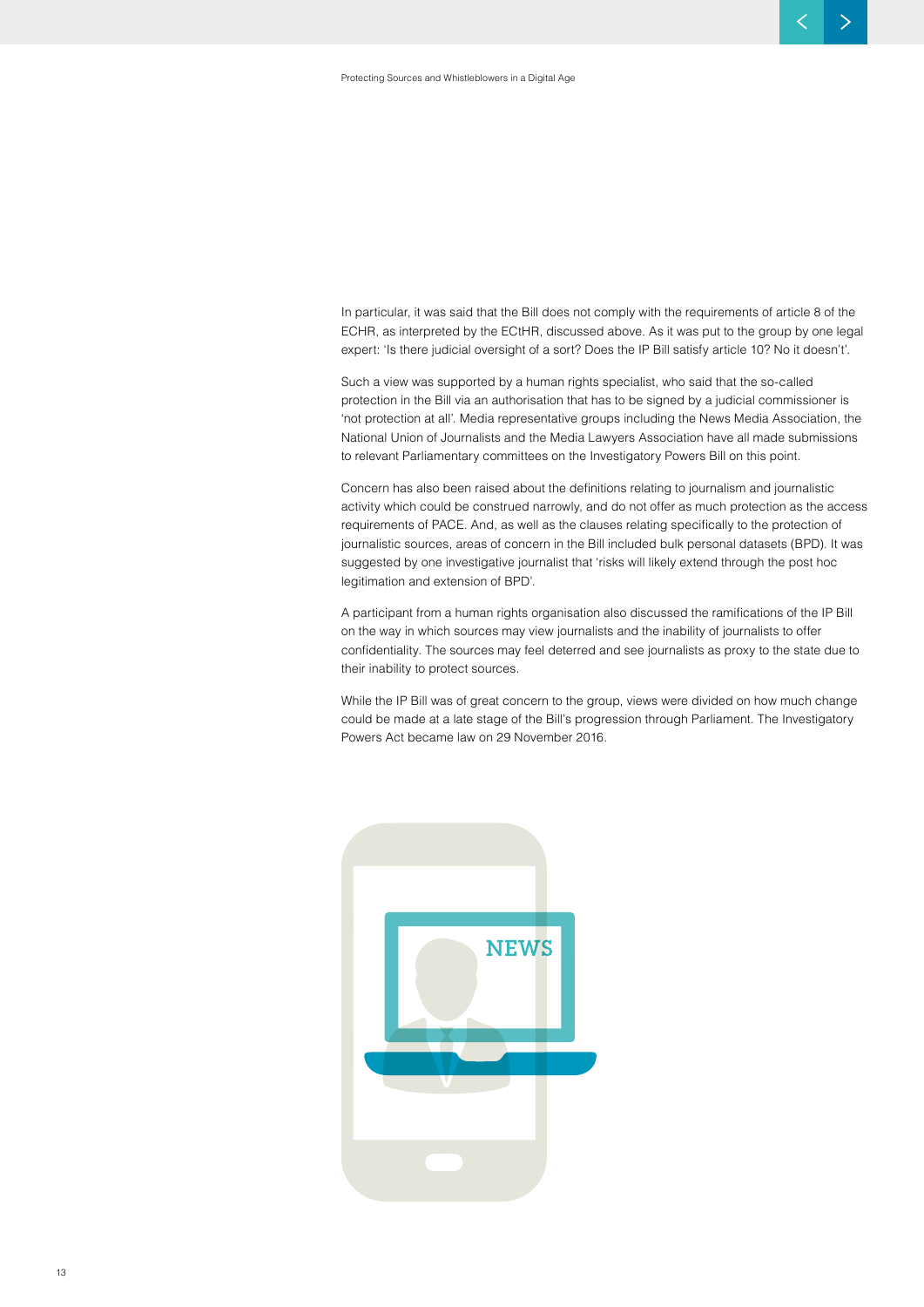In particular, it was said that the Bill does not comply with the requirements of article 8 of the ECHR, as interpreted by the ECtHR, discussed above. As it was put to the group by one legal expert: 'Is there judicial oversight of a sort? Does the IP Bill satisfy article 10? No it doesn't'.

Such a view was supported by a human rights specialist, who said that the so-called protection in the Bill via an authorisation that has to be signed by a judicial commissioner is 'not protection at all'. Media representative groups including the News Media Association, the National Union of Journalists and the Media Lawyers Association have all made submissions to relevant Parliamentary committees on the Investigatory Powers Bill on this point.

Concern has also been raised about the definitions relating to journalism and journalistic activity which could be construed narrowly, and do not offer as much protection as the access requirements of PACE. And, as well as the clauses relating specifically to the protection of journalistic sources, areas of concern in the Bill included bulk personal datasets (BPD). It was suggested by one investigative journalist that 'risks will likely extend through the post hoc legitimation and extension of BPD'.

A participant from a human rights organisation also discussed the ramifications of the IP Bill on the way in which sources may view journalists and the inability of journalists to offer confidentiality. The sources may feel deterred and see journalists as proxy to the state due to their inability to protect sources.

While the IP Bill was of great concern to the group, views were divided on how much change could be made at a late stage of the Bill's progression through Parliament. The Investigatory Powers Act became law on 29 November 2016.

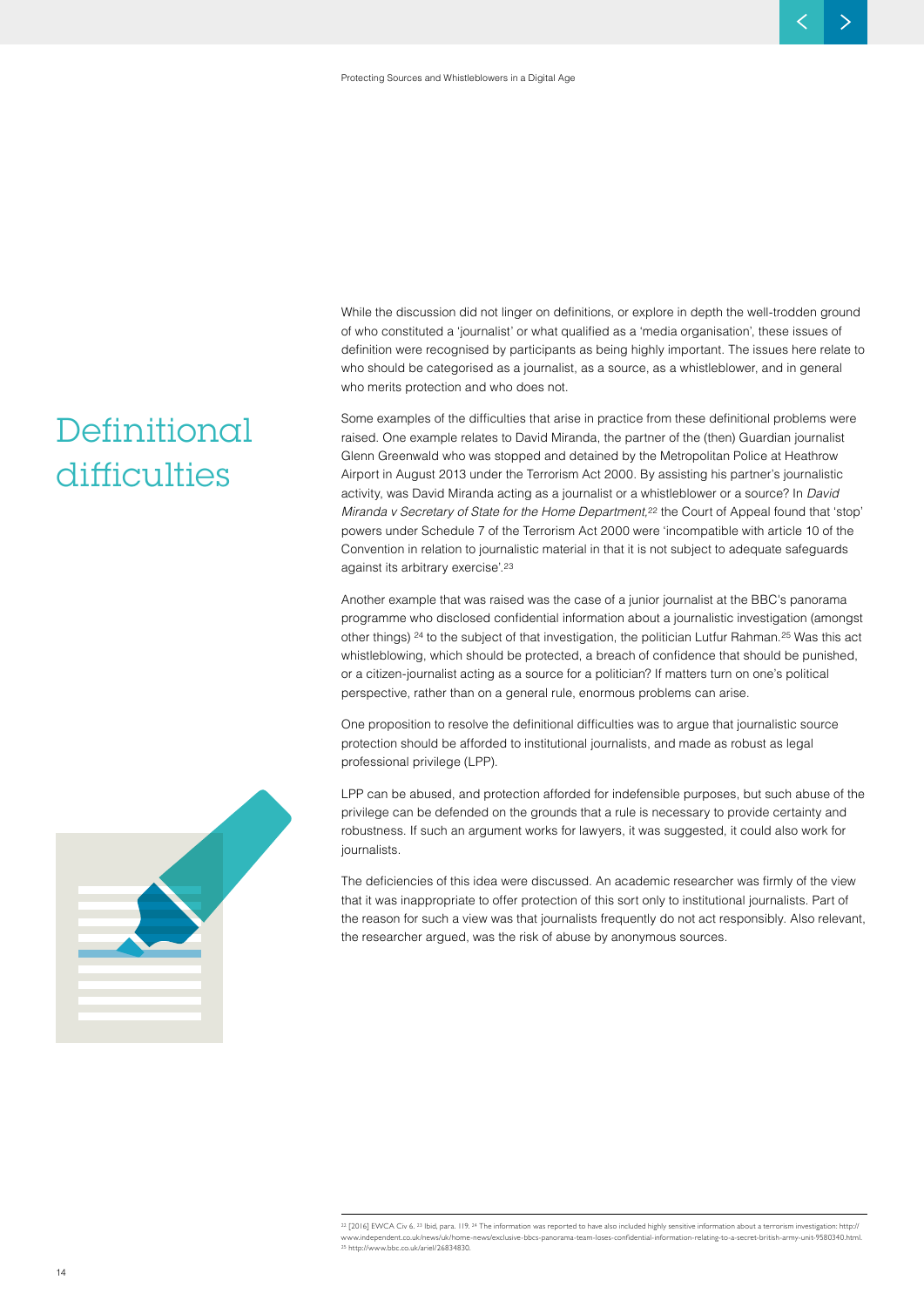While the discussion did not linger on definitions, or explore in depth the well-trodden ground of who constituted a 'journalist' or what qualified as a 'media organisation', these issues of definition were recognised by participants as being highly important. The issues here relate to who should be categorised as a journalist, as a source, as a whistleblower, and in general who merits protection and who does not.

Some examples of the difficulties that arise in practice from these definitional problems were raised. One example relates to David Miranda, the partner of the (then) Guardian journalist Glenn Greenwald who was stopped and detained by the Metropolitan Police at Heathrow Airport in August 2013 under the Terrorism Act 2000. By assisting his partner's journalistic activity, was David Miranda acting as a journalist or a whistleblower or a source? In *David Miranda v Secretary of State for the Home Department,*<sup>22</sup> the Court of Appeal found that 'stop' powers under Schedule 7 of the Terrorism Act 2000 were 'incompatible with article 10 of the Convention in relation to journalistic material in that it is not subject to adequate safeguards against its arbitrary exercise'.23

Another example that was raised was the case of a junior journalist at the BBC's panorama programme who disclosed confidential information about a journalistic investigation (amongst other things) <sup>24</sup> to the subject of that investigation, the politician Lutfur Rahman.<sup>25</sup> Was this act whistleblowing, which should be protected, a breach of confidence that should be punished, or a citizen-journalist acting as a source for a politician? If matters turn on one's political perspective, rather than on a general rule, enormous problems can arise.

One proposition to resolve the definitional difficulties was to argue that journalistic source protection should be afforded to institutional journalists, and made as robust as legal professional privilege (LPP).

LPP can be abused, and protection afforded for indefensible purposes, but such abuse of the privilege can be defended on the grounds that a rule is necessary to provide certainty and robustness. If such an argument works for lawyers, it was suggested, it could also work for journalists.

The deficiencies of this idea were discussed. An academic researcher was firmly of the view that it was inappropriate to offer protection of this sort only to institutional journalists. Part of the reason for such a view was that journalists frequently do not act responsibly. Also relevant, the researcher argued, was the risk of abuse by anonymous sources.

 $^{22}$  [2016] EWCA Civ 6,  $^{23}$  Ibid, para. 119,  $^{24}$  The information was reported to have also included highly sensitive information about a terrorism investigation: http:// www.independent.co.uk/news/uk/home-news/exclusive-bbcs-panorama-team-loses-confidential-information-relating-to-a-secret-british-army-unit-9580340.html. <sup>25</sup> http://www.bbc.co.uk/ariel/26834830.



**Definitional** 

**difficulties**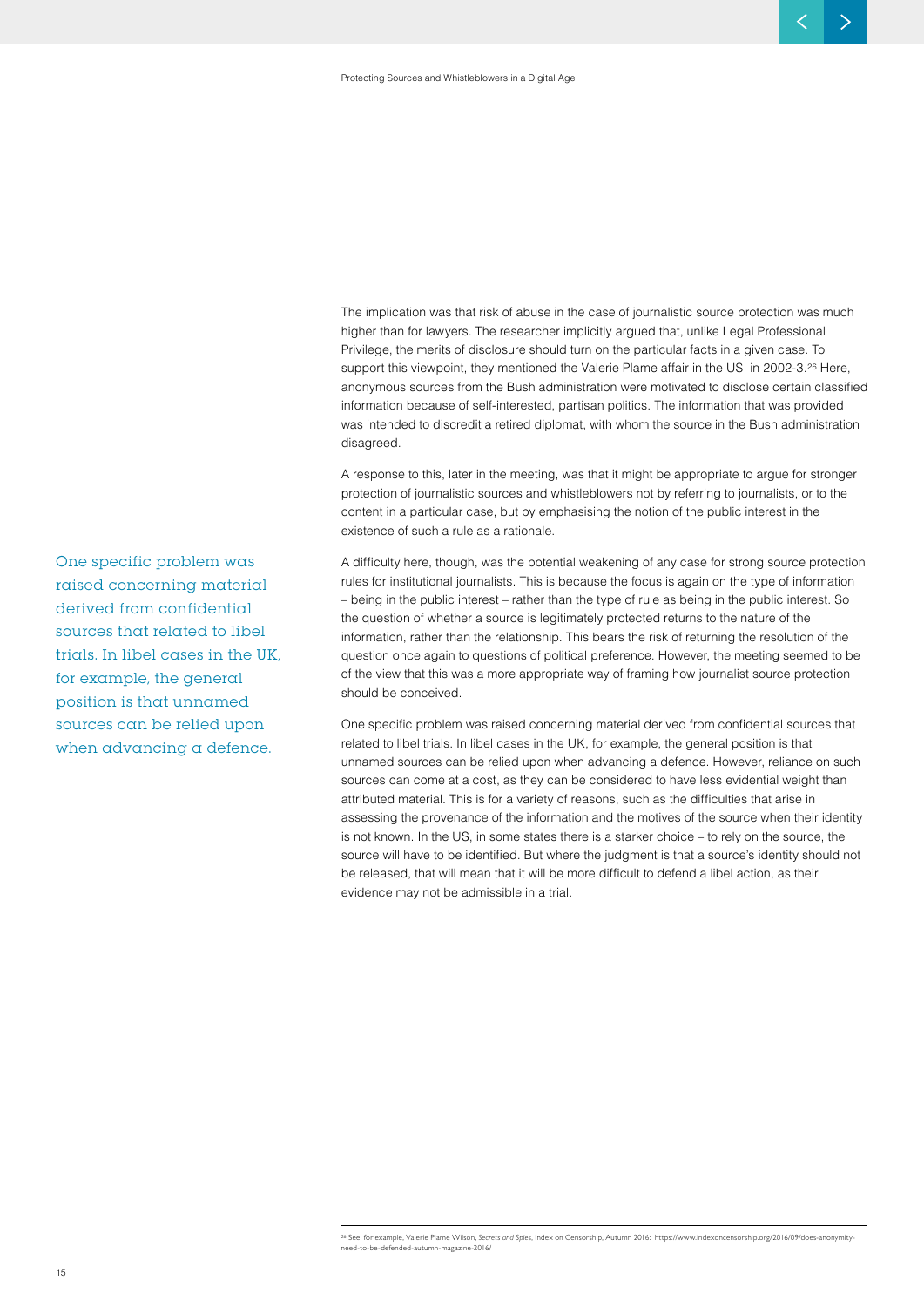The implication was that risk of abuse in the case of journalistic source protection was much higher than for lawyers. The researcher implicitly argued that, unlike Legal Professional Privilege, the merits of disclosure should turn on the particular facts in a given case. To support this viewpoint, they mentioned the Valerie Plame affair in the US in 2002-3.<sup>26</sup> Here. anonymous sources from the Bush administration were motivated to disclose certain classified information because of self-interested, partisan politics. The information that was provided was intended to discredit a retired diplomat, with whom the source in the Bush administration disagreed.

A response to this, later in the meeting, was that it might be appropriate to argue for stronger protection of journalistic sources and whistleblowers not by referring to journalists, or to the content in a particular case, but by emphasising the notion of the public interest in the existence of such a rule as a rationale.

A difficulty here, though, was the potential weakening of any case for strong source protection rules for institutional journalists. This is because the focus is again on the type of information – being in the public interest – rather than the type of rule as being in the public interest. So the question of whether a source is legitimately protected returns to the nature of the information, rather than the relationship. This bears the risk of returning the resolution of the question once again to questions of political preference. However, the meeting seemed to be of the view that this was a more appropriate way of framing how journalist source protection should be conceived.

One specific problem was raised concerning material derived from confidential sources that related to libel trials. In libel cases in the UK, for example, the general position is that unnamed sources can be relied upon when advancing a defence. However, reliance on such sources can come at a cost, as they can be considered to have less evidential weight than attributed material. This is for a variety of reasons, such as the difficulties that arise in assessing the provenance of the information and the motives of the source when their identity is not known. In the US, in some states there is a starker choice – to rely on the source, the source will have to be identified. But where the judgment is that a source's identity should not be released, that will mean that it will be more difficult to defend a libel action, as their evidence may not be admissible in a trial.

**One specific problem was raised concerning material derived from confidential sources that related to libel trials. In libel cases in the UK, for example, the general position is that unnamed sources can be relied upon when advancing a defence.**

<sup>26</sup> See, for example, Valerie Plame Wilson, *Secrets and Spies*, Index on Censorship, Autumn 2016: https://www.indexoncensorship.org/2016/09/does-anonymityneed-to-be-defended-autumn-magazine-2016/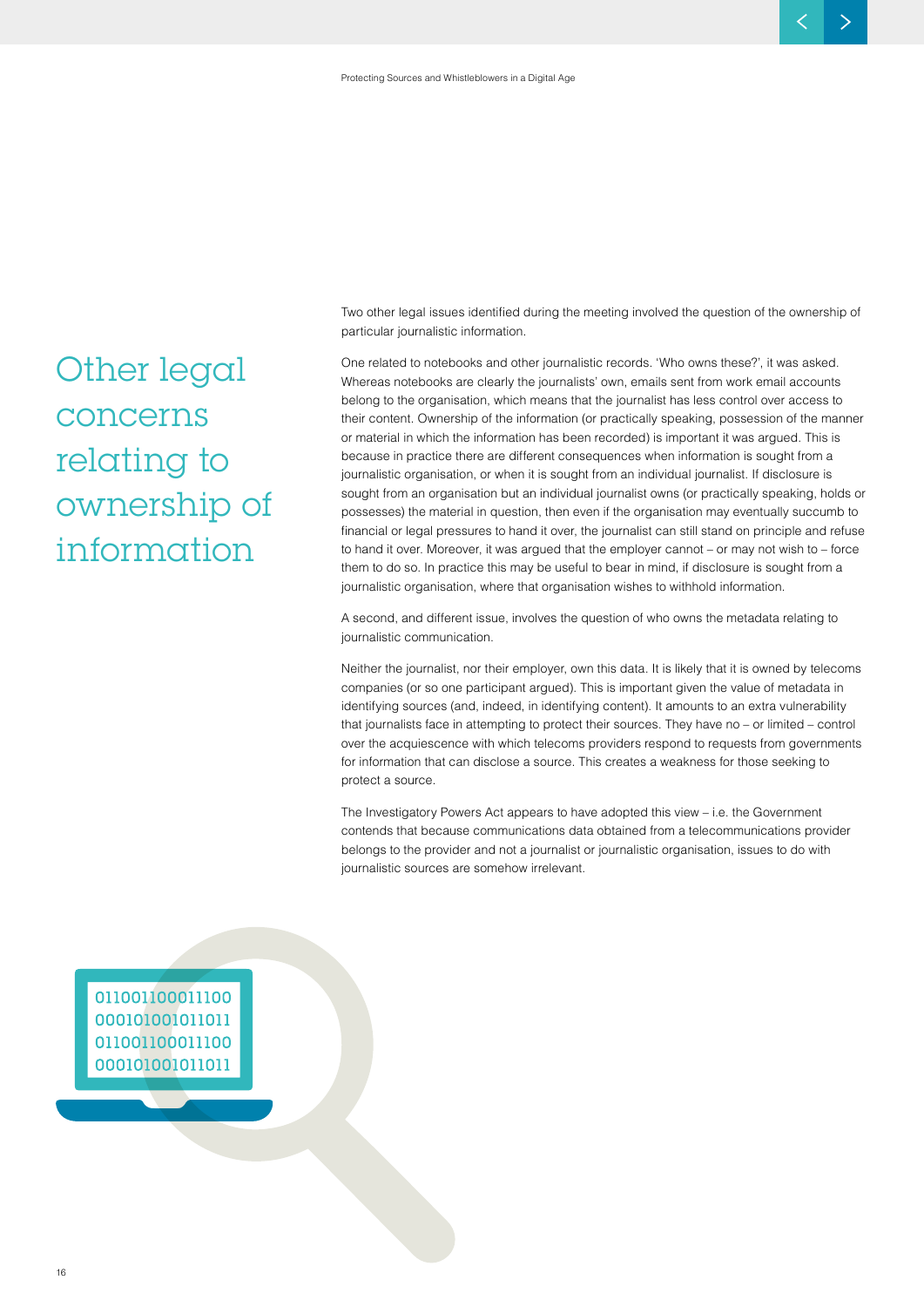Two other legal issues identified during the meeting involved the question of the ownership of particular journalistic information.

One related to notebooks and other journalistic records. 'Who owns these?', it was asked. Whereas notebooks are clearly the journalists' own, emails sent from work email accounts belong to the organisation, which means that the journalist has less control over access to their content. Ownership of the information (or practically speaking, possession of the manner or material in which the information has been recorded) is important it was argued. This is because in practice there are different consequences when information is sought from a journalistic organisation, or when it is sought from an individual journalist. If disclosure is sought from an organisation but an individual journalist owns (or practically speaking, holds or possesses) the material in question, then even if the organisation may eventually succumb to financial or legal pressures to hand it over, the journalist can still stand on principle and refuse to hand it over. Moreover, it was argued that the employer cannot – or may not wish to – force them to do so. In practice this may be useful to bear in mind, if disclosure is sought from a journalistic organisation, where that organisation wishes to withhold information.

A second, and different issue, involves the question of who owns the metadata relating to journalistic communication.

Neither the journalist, nor their employer, own this data. It is likely that it is owned by telecoms companies (or so one participant argued). This is important given the value of metadata in identifying sources (and, indeed, in identifying content). It amounts to an extra vulnerability that journalists face in attempting to protect their sources. They have no – or limited – control over the acquiescence with which telecoms providers respond to requests from governments for information that can disclose a source. This creates a weakness for those seeking to protect a source.

The Investigatory Powers Act appears to have adopted this view – i.e. the Government contends that because communications data obtained from a telecommunications provider belongs to the provider and not a journalist or journalistic organisation, issues to do with journalistic sources are somehow irrelevant.

011001100011100 000101001011011 011001100011100 000101001011011

**Other legal concerns relating to ownership of information**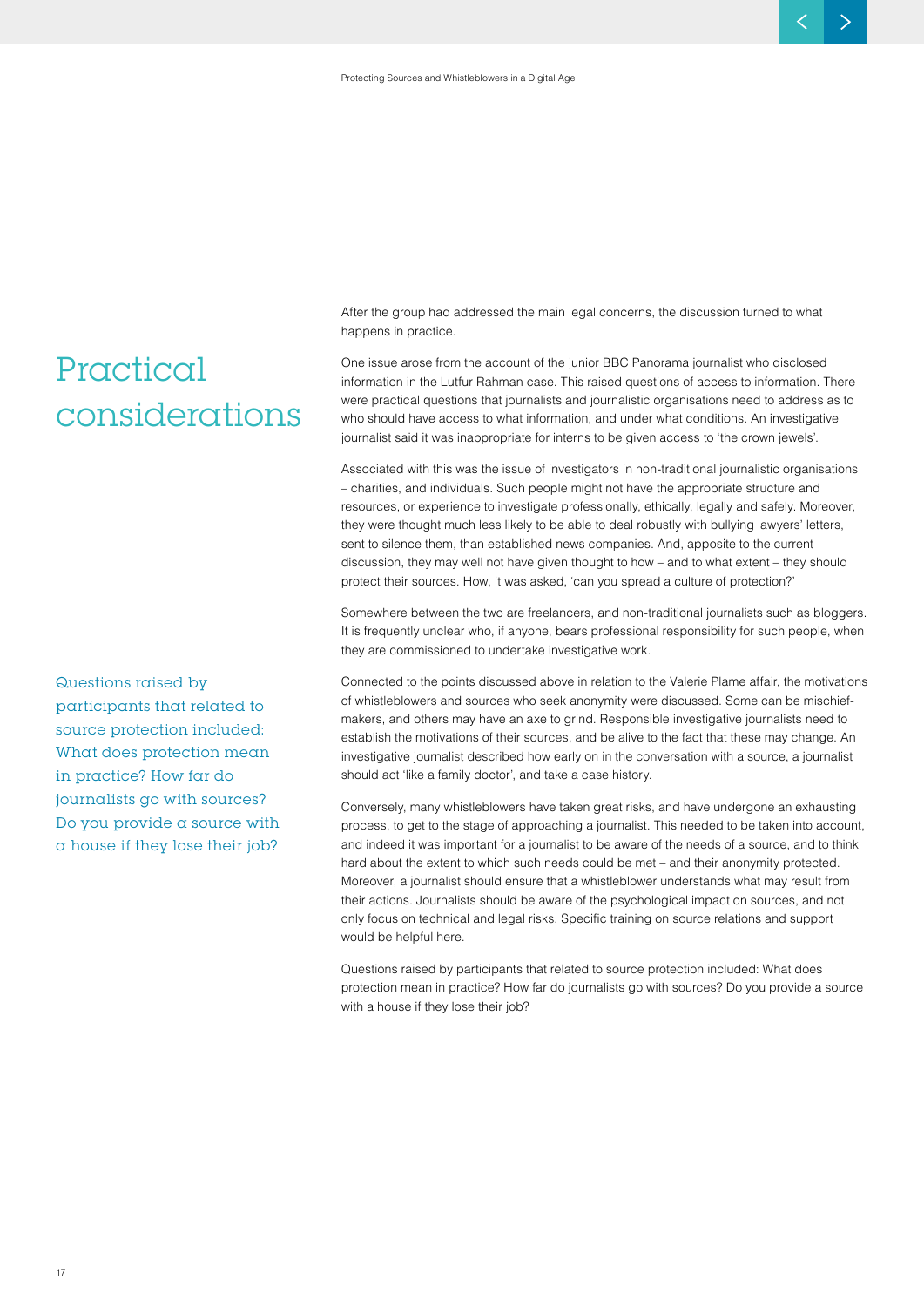## **Practical considerations**

**Questions raised by participants that related to source protection included: What does protection mean in practice? How far do journalists go with sources? Do you provide a source with a house if they lose their job?**

After the group had addressed the main legal concerns, the discussion turned to what happens in practice.

One issue arose from the account of the junior BBC Panorama journalist who disclosed information in the Lutfur Rahman case. This raised questions of access to information. There were practical questions that journalists and journalistic organisations need to address as to who should have access to what information, and under what conditions. An investigative journalist said it was inappropriate for interns to be given access to 'the crown jewels'.

Associated with this was the issue of investigators in non-traditional journalistic organisations – charities, and individuals. Such people might not have the appropriate structure and resources, or experience to investigate professionally, ethically, legally and safely. Moreover, they were thought much less likely to be able to deal robustly with bullying lawyers' letters, sent to silence them, than established news companies. And, apposite to the current discussion, they may well not have given thought to how – and to what extent – they should protect their sources. How, it was asked, 'can you spread a culture of protection?'

Somewhere between the two are freelancers, and non-traditional journalists such as bloggers. It is frequently unclear who, if anyone, bears professional responsibility for such people, when they are commissioned to undertake investigative work.

Connected to the points discussed above in relation to the Valerie Plame affair, the motivations of whistleblowers and sources who seek anonymity were discussed. Some can be mischiefmakers, and others may have an axe to grind. Responsible investigative journalists need to establish the motivations of their sources, and be alive to the fact that these may change. An investigative journalist described how early on in the conversation with a source, a journalist should act 'like a family doctor', and take a case history.

Conversely, many whistleblowers have taken great risks, and have undergone an exhausting process, to get to the stage of approaching a journalist. This needed to be taken into account, and indeed it was important for a journalist to be aware of the needs of a source, and to think hard about the extent to which such needs could be met – and their anonymity protected. Moreover, a journalist should ensure that a whistleblower understands what may result from their actions. Journalists should be aware of the psychological impact on sources, and not only focus on technical and legal risks. Specific training on source relations and support would be helpful here.

Questions raised by participants that related to source protection included: What does protection mean in practice? How far do journalists go with sources? Do you provide a source with a house if they lose their job?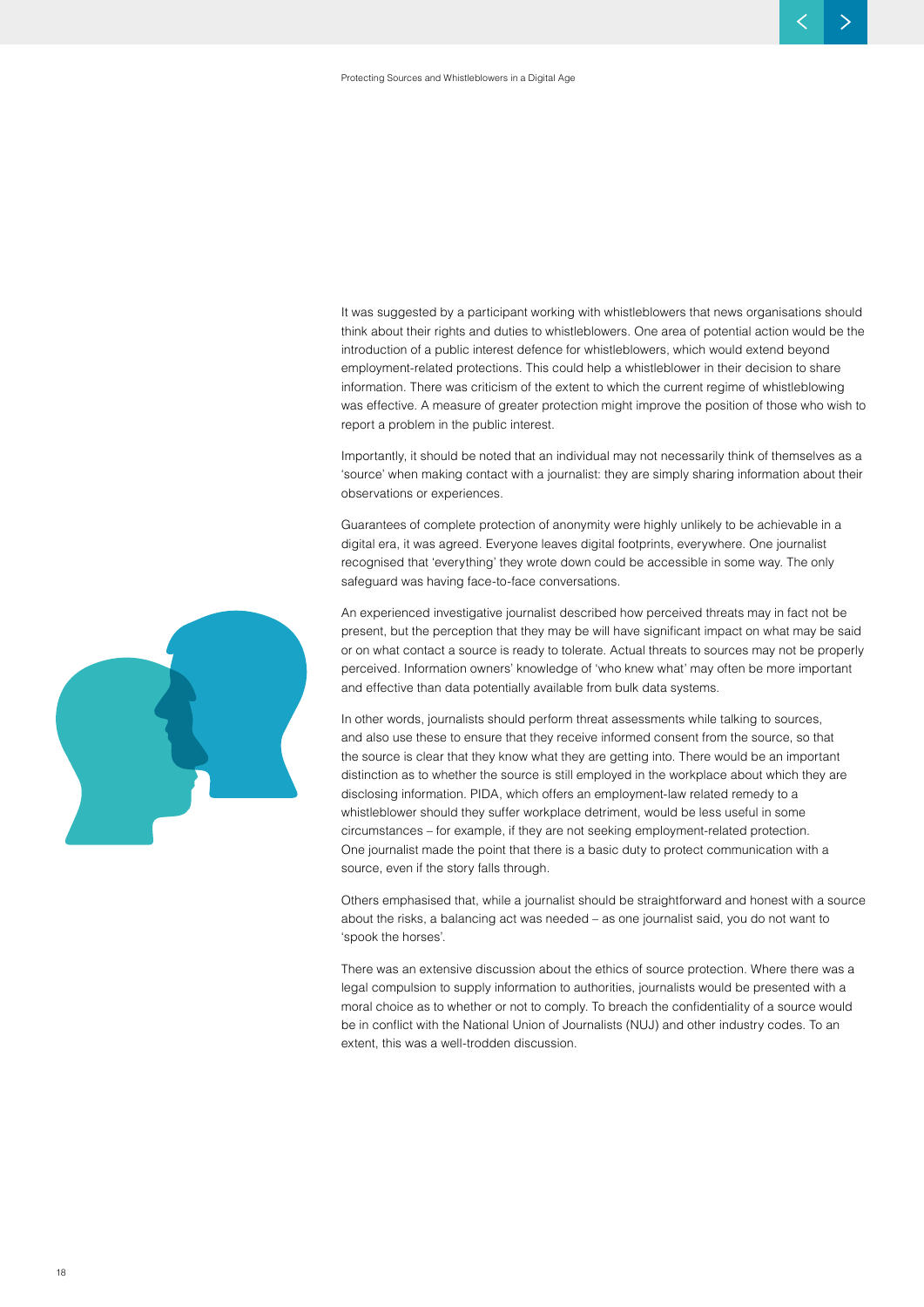It was suggested by a participant working with whistleblowers that news organisations should think about their rights and duties to whistleblowers. One area of potential action would be the introduction of a public interest defence for whistleblowers, which would extend beyond employment-related protections. This could help a whistleblower in their decision to share information. There was criticism of the extent to which the current regime of whistleblowing was effective. A measure of greater protection might improve the position of those who wish to report a problem in the public interest.

Importantly, it should be noted that an individual may not necessarily think of themselves as a 'source' when making contact with a journalist: they are simply sharing information about their observations or experiences.

Guarantees of complete protection of anonymity were highly unlikely to be achievable in a digital era, it was agreed. Everyone leaves digital footprints, everywhere. One journalist recognised that 'everything' they wrote down could be accessible in some way. The only safeguard was having face-to-face conversations.

An experienced investigative journalist described how perceived threats may in fact not be present, but the perception that they may be will have significant impact on what may be said or on what contact a source is ready to tolerate. Actual threats to sources may not be properly perceived. Information owners' knowledge of 'who knew what' may often be more important and effective than data potentially available from bulk data systems.

In other words, journalists should perform threat assessments while talking to sources, and also use these to ensure that they receive informed consent from the source, so that the source is clear that they know what they are getting into. There would be an important distinction as to whether the source is still employed in the workplace about which they are disclosing information. PIDA, which offers an employment-law related remedy to a whistleblower should they suffer workplace detriment, would be less useful in some circumstances – for example, if they are not seeking employment-related protection. One journalist made the point that there is a basic duty to protect communication with a source, even if the story falls through.

Others emphasised that, while a journalist should be straightforward and honest with a source about the risks, a balancing act was needed – as one journalist said, you do not want to 'spook the horses'.

There was an extensive discussion about the ethics of source protection. Where there was a legal compulsion to supply information to authorities, journalists would be presented with a moral choice as to whether or not to comply. To breach the confidentiality of a source would be in conflict with the National Union of Journalists (NUJ) and other industry codes. To an extent, this was a well-trodden discussion.

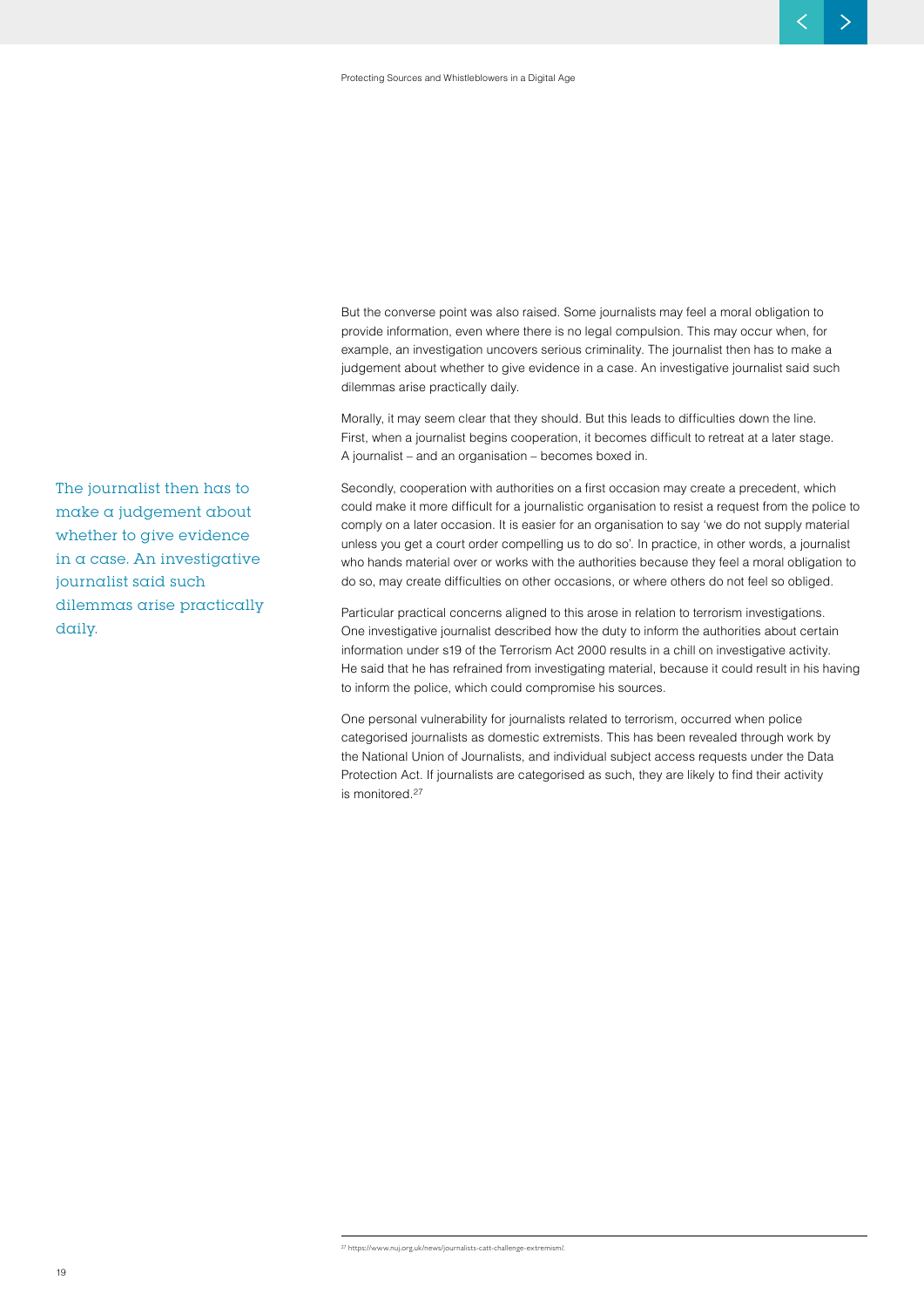But the converse point was also raised. Some journalists may feel a moral obligation to provide information, even where there is no legal compulsion. This may occur when, for example, an investigation uncovers serious criminality. The journalist then has to make a judgement about whether to give evidence in a case. An investigative journalist said such dilemmas arise practically daily.

Morally, it may seem clear that they should. But this leads to difficulties down the line. First, when a journalist begins cooperation, it becomes difficult to retreat at a later stage. A journalist – and an organisation – becomes boxed in.

Secondly, cooperation with authorities on a first occasion may create a precedent, which could make it more difficult for a journalistic organisation to resist a request from the police to comply on a later occasion. It is easier for an organisation to say 'we do not supply material unless you get a court order compelling us to do so'. In practice, in other words, a journalist who hands material over or works with the authorities because they feel a moral obligation to do so, may create difficulties on other occasions, or where others do not feel so obliged.

Particular practical concerns aligned to this arose in relation to terrorism investigations. One investigative journalist described how the duty to inform the authorities about certain information under s19 of the Terrorism Act 2000 results in a chill on investigative activity. He said that he has refrained from investigating material, because it could result in his having to inform the police, which could compromise his sources.

One personal vulnerability for journalists related to terrorism, occurred when police categorised journalists as domestic extremists. This has been revealed through work by the National Union of Journalists, and individual subject access requests under the Data Protection Act. If journalists are categorised as such, they are likely to find their activity is monitored.27

**The journalist then has to make a judgement about whether to give evidence in a case. An investigative journalist said such dilemmas arise practically daily.**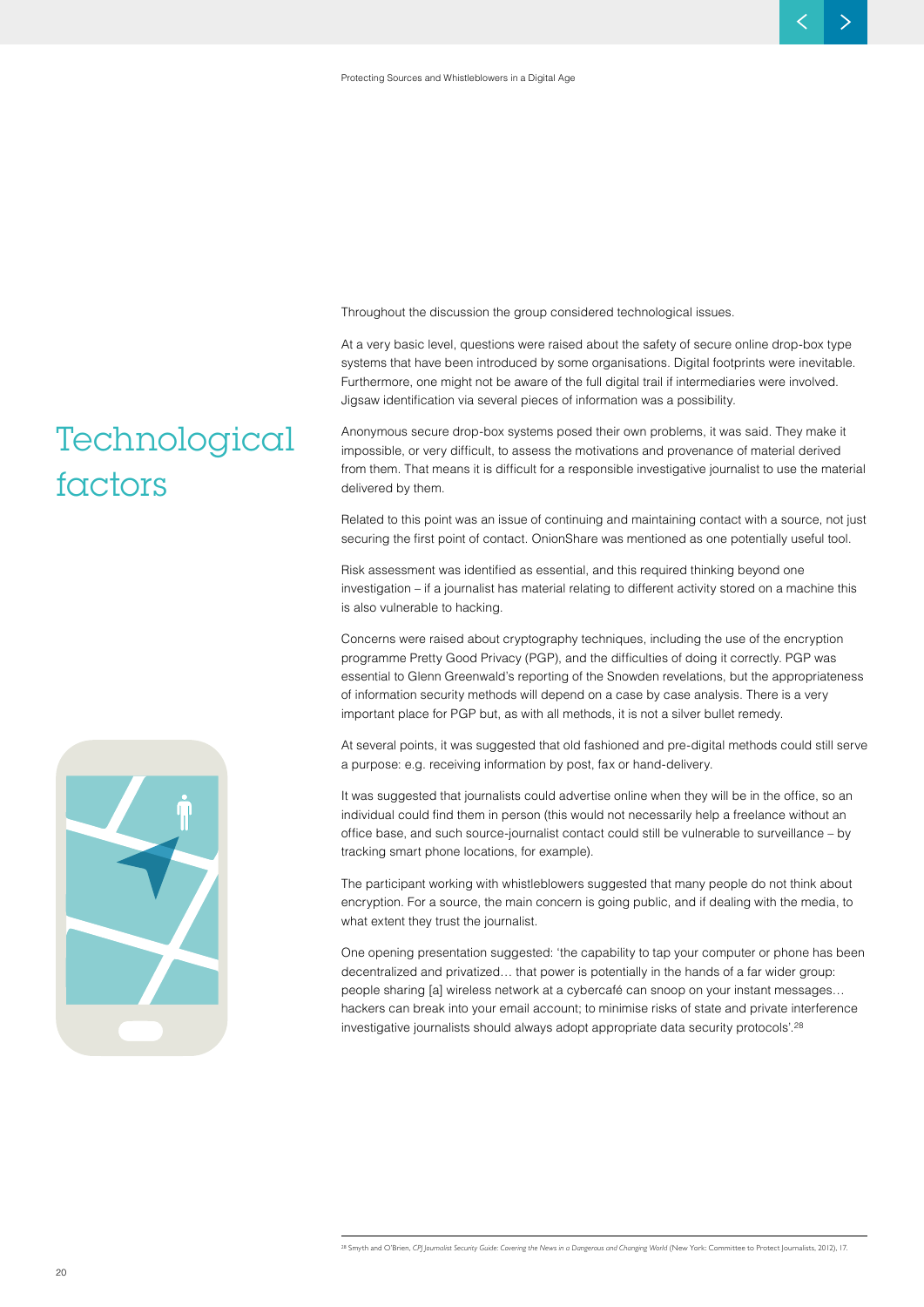Throughout the discussion the group considered technological issues.

At a very basic level, questions were raised about the safety of secure online drop-box type systems that have been introduced by some organisations. Digital footprints were inevitable. Furthermore, one might not be aware of the full digital trail if intermediaries were involved. Jigsaw identification via several pieces of information was a possibility.

Anonymous secure drop-box systems posed their own problems, it was said. They make it impossible, or very difficult, to assess the motivations and provenance of material derived from them. That means it is difficult for a responsible investigative journalist to use the material delivered by them.

Related to this point was an issue of continuing and maintaining contact with a source, not just securing the first point of contact. OnionShare was mentioned as one potentially useful tool.

Risk assessment was identified as essential, and this required thinking beyond one investigation – if a journalist has material relating to different activity stored on a machine this is also vulnerable to hacking.

Concerns were raised about cryptography techniques, including the use of the encryption programme Pretty Good Privacy (PGP), and the difficulties of doing it correctly. PGP was essential to Glenn Greenwald's reporting of the Snowden revelations, but the appropriateness of information security methods will depend on a case by case analysis. There is a very important place for PGP but, as with all methods, it is not a silver bullet remedy.

At several points, it was suggested that old fashioned and pre-digital methods could still serve a purpose: e.g. receiving information by post, fax or hand-delivery.

It was suggested that journalists could advertise online when they will be in the office, so an individual could find them in person (this would not necessarily help a freelance without an office base, and such source-journalist contact could still be vulnerable to surveillance – by tracking smart phone locations, for example).

The participant working with whistleblowers suggested that many people do not think about encryption. For a source, the main concern is going public, and if dealing with the media, to what extent they trust the journalist.

One opening presentation suggested: 'the capability to tap your computer or phone has been decentralized and privatized… that power is potentially in the hands of a far wider group: people sharing [a] wireless network at a cybercafé can snoop on your instant messages… hackers can break into your email account; to minimise risks of state and private interference investigative journalists should always adopt appropriate data security protocols'.28

## **Technological factors**

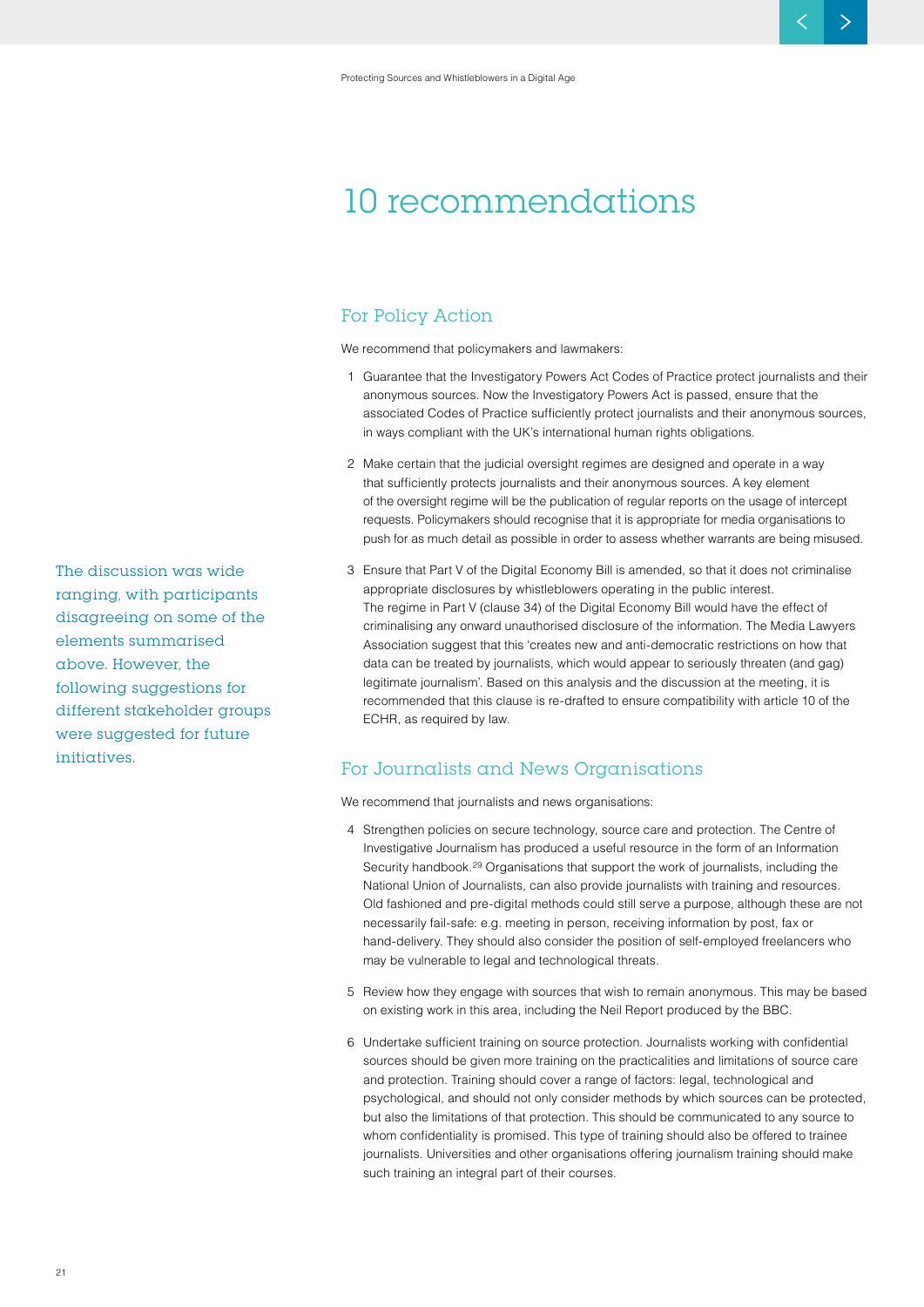### **10 recommendations**

#### **For Policy Action**

We recommend that policymakers and lawmakers:

- 1 Guarantee that the Investigatory Powers Act Codes of Practice protect journalists and their anonymous sources. Now the Investigatory Powers Act is passed, ensure that the associated Codes of Practice sufficiently protect journalists and their anonymous sources, in ways compliant with the UK's international human rights obligations.
- 2 Make certain that the judicial oversight regimes are designed and operate in a way that sufficiently protects journalists and their anonymous sources. A key element of the oversight regime will be the publication of regular reports on the usage of intercept requests. Policymakers should recognise that it is appropriate for media organisations to push for as much detail as possible in order to assess whether warrants are being misused.
- 3 Ensure that Part V of the Digital Economy Bill is amended, so that it does not criminalise appropriate disclosures by whistleblowers operating in the public interest. The regime in Part V (clause 34) of the Digital Economy Bill would have the effect of criminalising any onward unauthorised disclosure of the information. The Media Lawyers Association suggest that this 'creates new and anti-democratic restrictions on how that data can be treated by journalists, which would appear to seriously threaten (and gag) legitimate journalism'. Based on this analysis and the discussion at the meeting, it is recommended that this clause is re-drafted to ensure compatibility with article 10 of the ECHR, as required by law.

#### **For Journalists and News Organisations**

We recommend that journalists and news organisations:

- 4 Strengthen policies on secure technology, source care and protection. The Centre of Investigative Journalism has produced a useful resource in the form of an Information Security handbook.29 Organisations that support the work of journalists, including the National Union of Journalists, can also provide journalists with training and resources. Old fashioned and pre-digital methods could still serve a purpose, although these are not necessarily fail-safe: e.g. meeting in person, receiving information by post, fax or hand-delivery. They should also consider the position of self-employed freelancers who may be vulnerable to legal and technological threats.
- 5 Review how they engage with sources that wish to remain anonymous. This may be based on existing work in this area, including the Neil Report produced by the BBC.
- 6 Undertake sufficient training on source protection. Journalists working with confidential sources should be given more training on the practicalities and limitations of source care and protection. Training should cover a range of factors: legal, technological and psychological, and should not only consider methods by which sources can be protected, but also the limitations of that protection. This should be communicated to any source to whom confidentiality is promised. This type of training should also be offered to trainee journalists. Universities and other organisations offering journalism training should make such training an integral part of their courses.

**The discussion was wide ranging, with participants disagreeing on some of the elements summarised above. However, the following suggestions for different stakeholder groups were suggested for future initiatives.**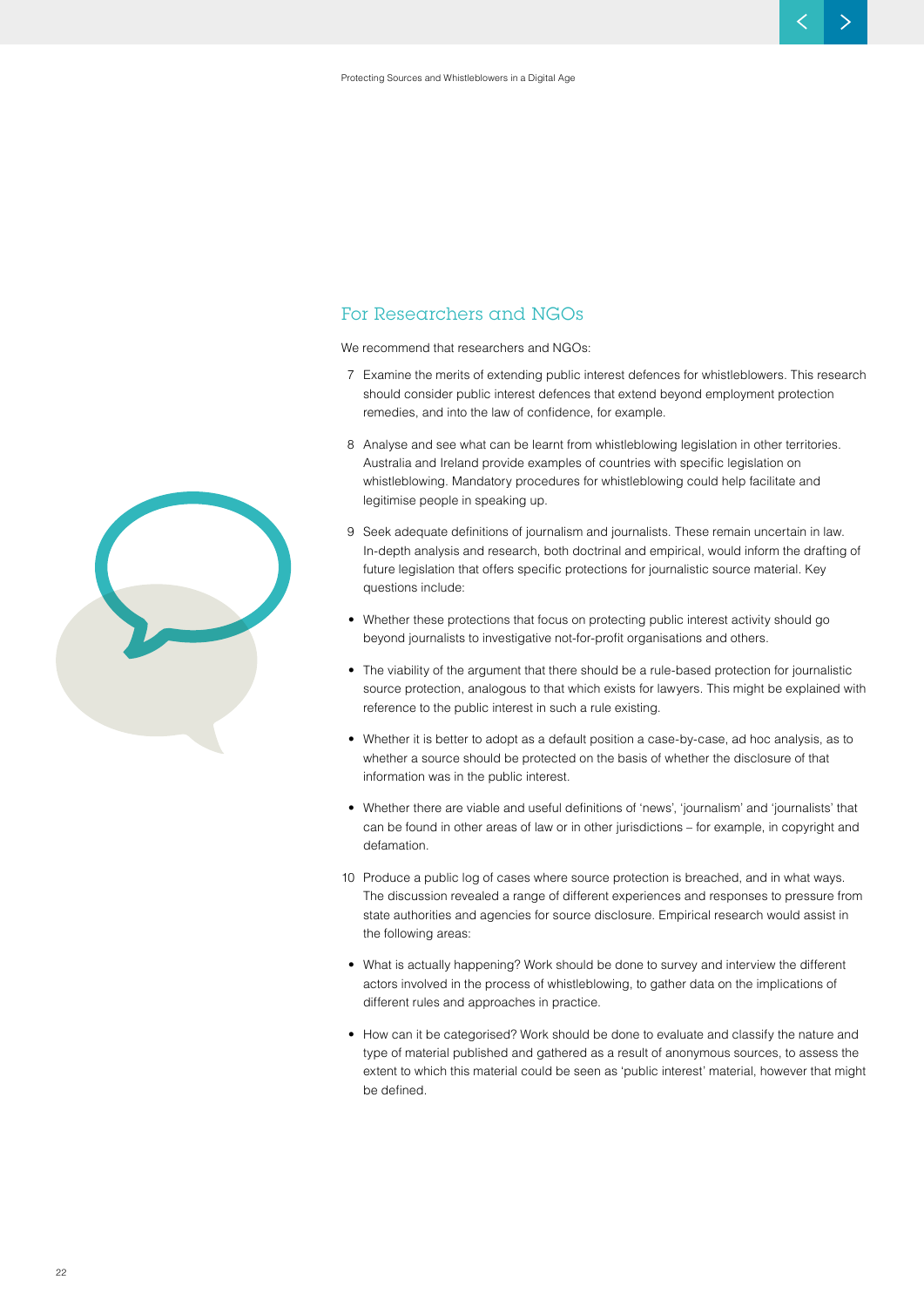#### **For Researchers and NGOs**

We recommend that researchers and NGOs:

- 7 Examine the merits of extending public interest defences for whistleblowers. This research should consider public interest defences that extend beyond employment protection remedies, and into the law of confidence, for example.
- 8 Analyse and see what can be learnt from whistleblowing legislation in other territories. Australia and Ireland provide examples of countries with specific legislation on whistleblowing. Mandatory procedures for whistleblowing could help facilitate and legitimise people in speaking up.
- 9 Seek adequate definitions of journalism and journalists. These remain uncertain in law. In-depth analysis and research, both doctrinal and empirical, would inform the drafting of future legislation that offers specific protections for journalistic source material. Key questions include:
- Whether these protections that focus on protecting public interest activity should go beyond journalists to investigative not-for-profit organisations and others.
- The viability of the argument that there should be a rule-based protection for journalistic source protection, analogous to that which exists for lawyers. This might be explained with reference to the public interest in such a rule existing.
- Whether it is better to adopt as a default position a case-by-case, ad hoc analysis, as to whether a source should be protected on the basis of whether the disclosure of that information was in the public interest.
- Whether there are viable and useful definitions of 'news', 'journalism' and 'journalists' that can be found in other areas of law or in other jurisdictions – for example, in copyright and defamation.
- 10 Produce a public log of cases where source protection is breached, and in what ways. The discussion revealed a range of different experiences and responses to pressure from state authorities and agencies for source disclosure. Empirical research would assist in the following areas:
- What is actually happening? Work should be done to survey and interview the different actors involved in the process of whistleblowing, to gather data on the implications of different rules and approaches in practice.
- How can it be categorised? Work should be done to evaluate and classify the nature and type of material published and gathered as a result of anonymous sources, to assess the extent to which this material could be seen as 'public interest' material, however that might be defined.

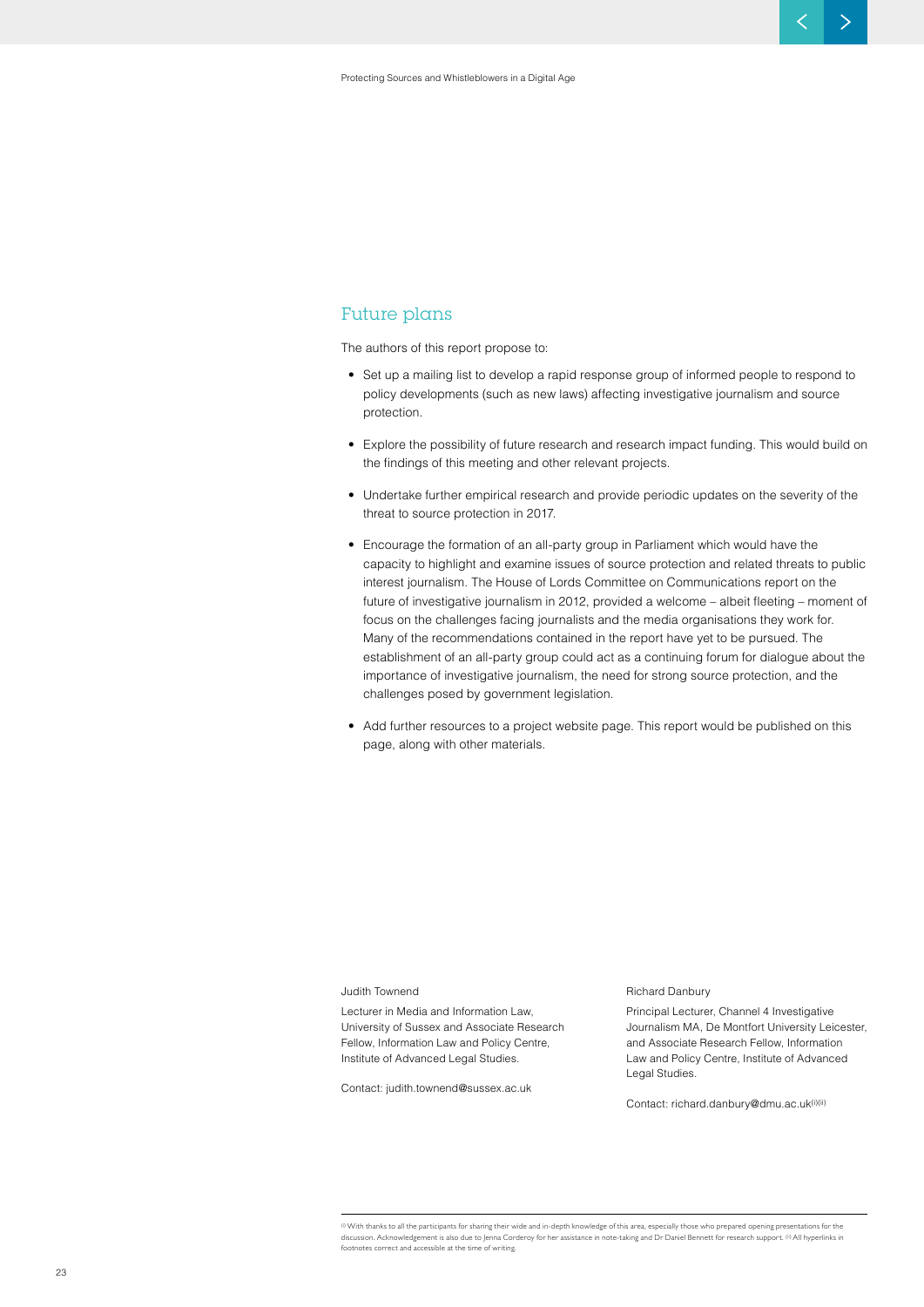#### **Future plans**

The authors of this report propose to:

- Set up a mailing list to develop a rapid response group of informed people to respond to policy developments (such as new laws) affecting investigative journalism and source protection.
- Explore the possibility of future research and research impact funding. This would build on the findings of this meeting and other relevant projects.
- Undertake further empirical research and provide periodic updates on the severity of the threat to source protection in 2017.
- Encourage the formation of an all-party group in Parliament which would have the capacity to highlight and examine issues of source protection and related threats to public interest journalism. The House of Lords Committee on Communications report on the future of investigative journalism in 2012, provided a welcome – albeit fleeting – moment of focus on the challenges facing journalists and the media organisations they work for. Many of the recommendations contained in the report have yet to be pursued. The establishment of an all-party group could act as a continuing forum for dialogue about the importance of investigative journalism, the need for strong source protection, and the challenges posed by government legislation.
- Add further resources to a project website page. This report would be published on this page, along with other materials.

#### Judith Townend

Lecturer in Media and Information Law, University of Sussex and Associate Research Fellow, Information Law and Policy Centre, Institute of Advanced Legal Studies.

Contact: judith.townend@sussex.ac.uk

#### Richard Danbury

Principal Lecturer, Channel 4 Investigative Journalism MA, De Montfort University Leicester, and Associate Research Fellow, Information Law and Policy Centre, Institute of Advanced Legal Studies.

Contact: richard.danbury@dmu.ac.uk(i)(ii)

(i) With thanks to all the participants for sharing their wide and in-depth knowledge of this area, especially those who prepared opening presentations for the discussion. Acknowledgement is also due to Jenna Corderoy for her assistance in note-taking and Dr Daniel Bennett for research support. (ii) All hyperlinks in footnotes correct and accessible at the time of writing.